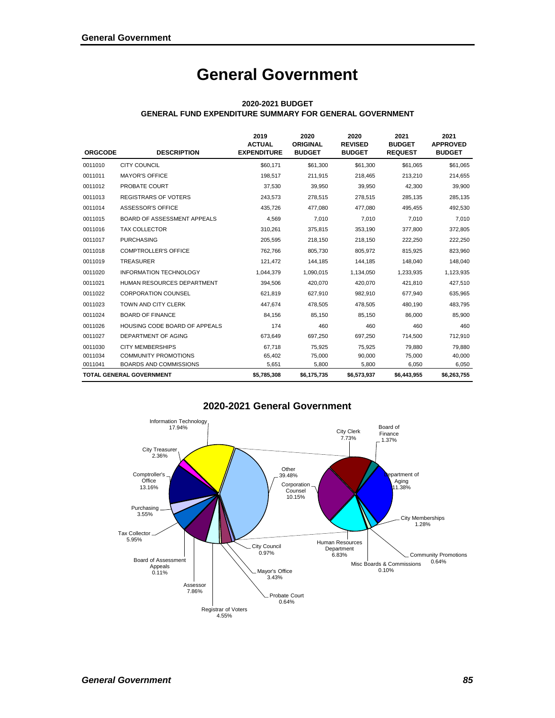# **General Government**

| <b>ORGCODE</b> | <b>DESCRIPTION</b>                   | 2019<br><b>ACTUAL</b><br><b>EXPENDITURE</b> | 2020<br><b>ORIGINAL</b><br><b>BUDGET</b> | 2020<br><b>REVISED</b><br><b>BUDGET</b> | 2021<br><b>BUDGET</b><br><b>REQUEST</b> | 2021<br><b>APPROVED</b><br><b>BUDGET</b> |
|----------------|--------------------------------------|---------------------------------------------|------------------------------------------|-----------------------------------------|-----------------------------------------|------------------------------------------|
| 0011010        | <b>CITY COUNCIL</b>                  | \$60,171                                    | \$61,300                                 | \$61,300                                | \$61,065                                | \$61,065                                 |
| 0011011        | <b>MAYOR'S OFFICE</b>                | 198,517                                     | 211,915                                  | 218,465                                 | 213,210                                 | 214,655                                  |
| 0011012        | PROBATE COURT                        | 37,530                                      | 39.950                                   | 39.950                                  | 42.300                                  | 39,900                                   |
| 0011013        | <b>REGISTRARS OF VOTERS</b>          | 243,573                                     | 278,515                                  | 278,515                                 | 285,135                                 | 285,135                                  |
| 0011014        | ASSESSOR'S OFFICE                    | 435,726                                     | 477,080                                  | 477,080                                 | 495,455                                 | 492,530                                  |
| 0011015        | BOARD OF ASSESSMENT APPEALS          | 4,569                                       | 7,010                                    | 7,010                                   | 7,010                                   | 7,010                                    |
| 0011016        | <b>TAX COLLECTOR</b>                 | 310,261                                     | 375,815                                  | 353,190                                 | 377,800                                 | 372,805                                  |
| 0011017        | <b>PURCHASING</b>                    | 205,595                                     | 218,150                                  | 218,150                                 | 222,250                                 | 222,250                                  |
| 0011018        | <b>COMPTROLLER'S OFFICE</b>          | 762,766                                     | 805,730                                  | 805,972                                 | 815,925                                 | 823,960                                  |
| 0011019        | <b>TREASURER</b>                     | 121,472                                     | 144,185                                  | 144,185                                 | 148,040                                 | 148,040                                  |
| 0011020        | <b>INFORMATION TECHNOLOGY</b>        | 1,044,379                                   | 1,090,015                                | 1,134,050                               | 1,233,935                               | 1,123,935                                |
| 0011021        | HUMAN RESOURCES DEPARTMENT           | 394,506                                     | 420,070                                  | 420,070                                 | 421,810                                 | 427,510                                  |
| 0011022        | <b>CORPORATION COUNSEL</b>           | 621,819                                     | 627,910                                  | 982,910                                 | 677,940                                 | 635,965                                  |
| 0011023        | TOWN AND CITY CLERK                  | 447,674                                     | 478,505                                  | 478,505                                 | 480,190                                 | 483,795                                  |
| 0011024        | <b>BOARD OF FINANCE</b>              | 84,156                                      | 85,150                                   | 85,150                                  | 86,000                                  | 85,900                                   |
| 0011026        | <b>HOUSING CODE BOARD OF APPEALS</b> | 174                                         | 460                                      | 460                                     | 460                                     | 460                                      |
| 0011027        | DEPARTMENT OF AGING                  | 673,649                                     | 697,250                                  | 697,250                                 | 714,500                                 | 712,910                                  |
| 0011030        | <b>CITY MEMBERSHIPS</b>              | 67,718                                      | 75,925                                   | 75,925                                  | 79,880                                  | 79,880                                   |
| 0011034        | <b>COMMUNITY PROMOTIONS</b>          | 65,402                                      | 75,000                                   | 90,000                                  | 75,000                                  | 40,000                                   |
| 0011041        | <b>BOARDS AND COMMISSIONS</b>        | 5,651                                       | 5,800                                    | 5,800                                   | 6,050                                   | 6,050                                    |
|                | <b>TOTAL GENERAL GOVERNMENT</b>      | \$5,785,308                                 | \$6,175,735                              | \$6,573,937                             | \$6,443,955                             | \$6,263,755                              |

#### **2020-2021 BUDGET GENERAL FUND EXPENDITURE SUMMARY FOR GENERAL GOVERNMENT**

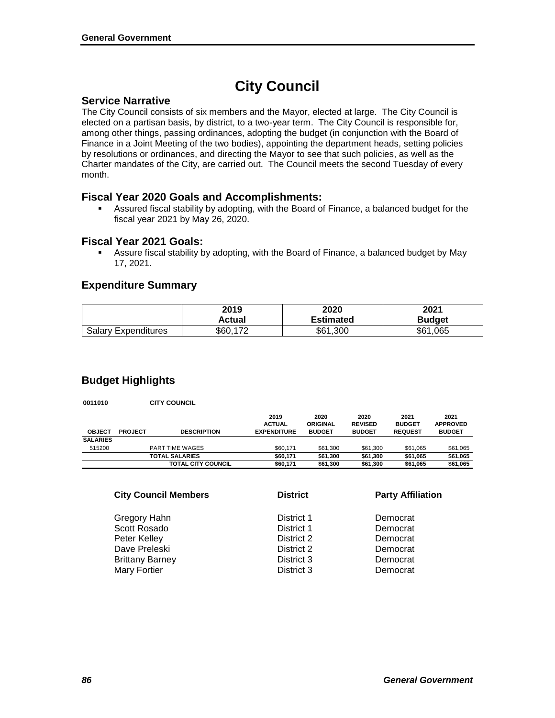# **City Council**

### **Service Narrative**

The City Council consists of six members and the Mayor, elected at large. The City Council is elected on a partisan basis, by district, to a two-year term. The City Council is responsible for, among other things, passing ordinances, adopting the budget (in conjunction with the Board of Finance in a Joint Meeting of the two bodies), appointing the department heads, setting policies by resolutions or ordinances, and directing the Mayor to see that such policies, as well as the Charter mandates of the City, are carried out. The Council meets the second Tuesday of every month.

### **Fiscal Year 2020 Goals and Accomplishments:**

 Assured fiscal stability by adopting, with the Board of Finance, a balanced budget for the fiscal year 2021 by May 26, 2020.

#### **Fiscal Year 2021 Goals:**

 Assure fiscal stability by adopting, with the Board of Finance, a balanced budget by May 17, 2021.

### **Expenditure Summary**

|                            | 2019     | 2020             | 2021          |
|----------------------------|----------|------------------|---------------|
|                            | Actual   | <b>Estimated</b> | <b>Budget</b> |
| <b>Salary Expenditures</b> | \$60,172 | \$61<br>.300     | .065<br>\$61. |

## **Budget Highlights**

**0011010 CITY COUNCIL**

|                 |                |                           | 2019               | 2020            | 2020           | 2021           | 2021            |
|-----------------|----------------|---------------------------|--------------------|-----------------|----------------|----------------|-----------------|
|                 |                |                           | <b>ACTUAL</b>      | <b>ORIGINAL</b> | <b>REVISED</b> | <b>BUDGET</b>  | <b>APPROVED</b> |
| <b>OBJECT</b>   | <b>PROJECT</b> | <b>DESCRIPTION</b>        | <b>EXPENDITURE</b> | <b>BUDGET</b>   | <b>BUDGET</b>  | <b>REQUEST</b> | <b>BUDGET</b>   |
| <b>SALARIES</b> |                |                           |                    |                 |                |                |                 |
| 515200          |                | PART TIME WAGES           | \$60.171           | \$61.300        | \$61,300       | \$61.065       | \$61,065        |
|                 |                | <b>TOTAL SALARIES</b>     | \$60.171           | \$61.300        | \$61.300       | \$61.065       | \$61,065        |
|                 |                | <b>TOTAL CITY COUNCIL</b> | \$60.171           | \$61.300        | \$61,300       | \$61.065       | \$61,065        |

| <b>City Council Members</b> | <b>District</b> | <b>Party Affiliation</b> |
|-----------------------------|-----------------|--------------------------|
| Gregory Hahn                | District 1      | Democrat                 |
| Scott Rosado                | District 1      | Democrat                 |
| Peter Kelley                | District 2      | Democrat                 |
| Dave Preleski               | District 2      | Democrat                 |
| <b>Brittany Barney</b>      | District 3      | Democrat                 |
| Mary Fortier                | District 3      | Democrat                 |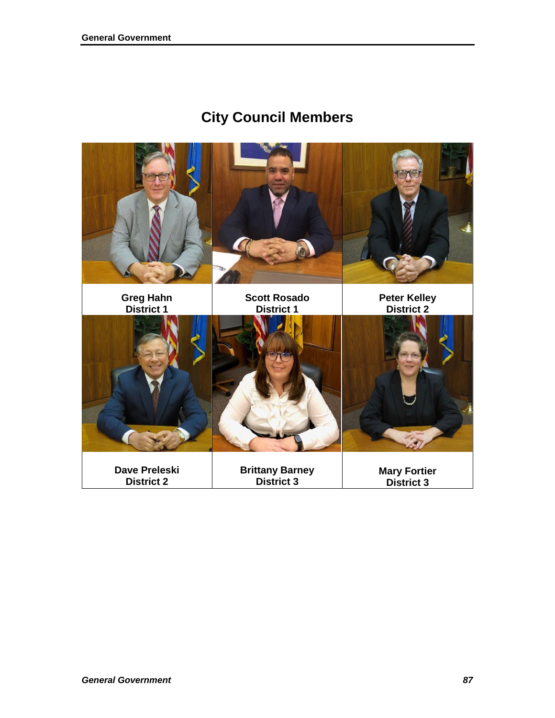# **City Council Members**

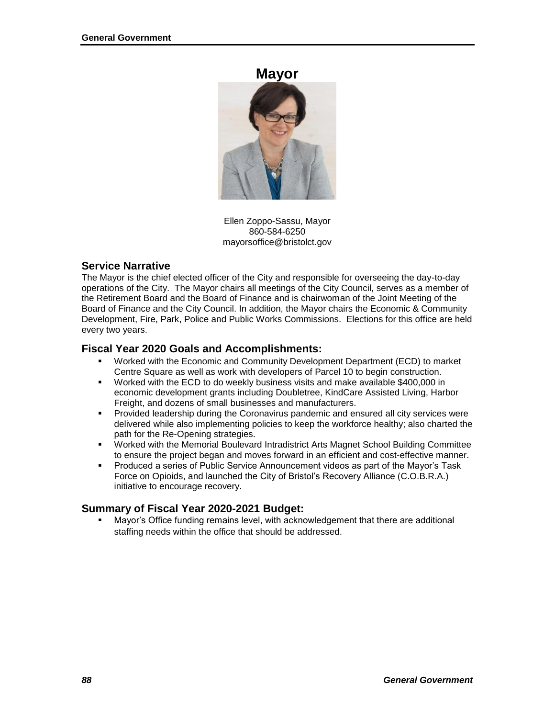#### **Mayor**



Ellen Zoppo-Sassu, Mayor 860-584-6250 mayorsoffice@bristolct.gov

### **Service Narrative**

The Mayor is the chief elected officer of the City and responsible for overseeing the day-to-day operations of the City. The Mayor chairs all meetings of the City Council, serves as a member of the Retirement Board and the Board of Finance and is chairwoman of the Joint Meeting of the Board of Finance and the City Council. In addition, the Mayor chairs the Economic & Community Development, Fire, Park, Police and Public Works Commissions. Elections for this office are held every two years.

#### **Fiscal Year 2020 Goals and Accomplishments:**

- Worked with the Economic and Community Development Department (ECD) to market Centre Square as well as work with developers of Parcel 10 to begin construction.
- Worked with the ECD to do weekly business visits and make available \$400,000 in economic development grants including Doubletree, KindCare Assisted Living, Harbor Freight, and dozens of small businesses and manufacturers.
- **Provided leadership during the Coronavirus pandemic and ensured all city services were** delivered while also implementing policies to keep the workforce healthy; also charted the path for the Re-Opening strategies.
- Worked with the Memorial Boulevard Intradistrict Arts Magnet School Building Committee to ensure the project began and moves forward in an efficient and cost-effective manner.
- Produced a series of Public Service Announcement videos as part of the Mayor's Task Force on Opioids, and launched the City of Bristol's Recovery Alliance (C.O.B.R.A.) initiative to encourage recovery.

#### **Summary of Fiscal Year 2020-2021 Budget:**

 Mayor's Office funding remains level, with acknowledgement that there are additional staffing needs within the office that should be addressed.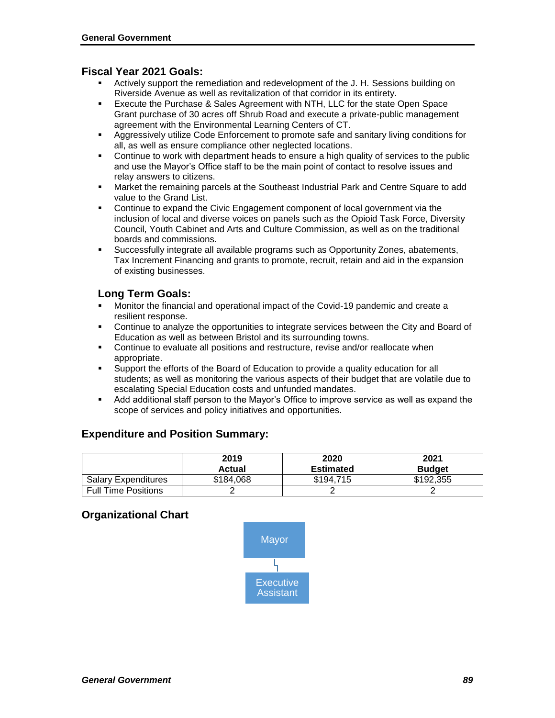#### **Fiscal Year 2021 Goals:**

- Actively support the remediation and redevelopment of the J. H. Sessions building on Riverside Avenue as well as revitalization of that corridor in its entirety.
- Execute the Purchase & Sales Agreement with NTH, LLC for the state Open Space Grant purchase of 30 acres off Shrub Road and execute a private-public management agreement with the Environmental Learning Centers of CT.
- **Aggressively utilize Code Enforcement to promote safe and sanitary living conditions for** all, as well as ensure compliance other neglected locations.
- Continue to work with department heads to ensure a high quality of services to the public and use the Mayor's Office staff to be the main point of contact to resolve issues and relay answers to citizens.
- Market the remaining parcels at the Southeast Industrial Park and Centre Square to add value to the Grand List.
- Continue to expand the Civic Engagement component of local government via the inclusion of local and diverse voices on panels such as the Opioid Task Force, Diversity Council, Youth Cabinet and Arts and Culture Commission, as well as on the traditional boards and commissions.
- Successfully integrate all available programs such as Opportunity Zones, abatements, Tax Increment Financing and grants to promote, recruit, retain and aid in the expansion of existing businesses.

### **Long Term Goals:**

- Monitor the financial and operational impact of the Covid-19 pandemic and create a resilient response.
- Continue to analyze the opportunities to integrate services between the City and Board of Education as well as between Bristol and its surrounding towns.
- Continue to evaluate all positions and restructure, revise and/or reallocate when appropriate.
- Support the efforts of the Board of Education to provide a quality education for all students; as well as monitoring the various aspects of their budget that are volatile due to escalating Special Education costs and unfunded mandates.
- Add additional staff person to the Mayor's Office to improve service as well as expand the scope of services and policy initiatives and opportunities.

#### **Expenditure and Position Summary:**

|                            | 2019<br><b>Actual</b> | 2020<br><b>Estimated</b> | 2021<br><b>Budget</b> |
|----------------------------|-----------------------|--------------------------|-----------------------|
| <b>Salary Expenditures</b> | \$184.068             | \$194.715                | \$192,355             |
| <b>Full Time Positions</b> |                       |                          |                       |

#### **Organizational Chart**

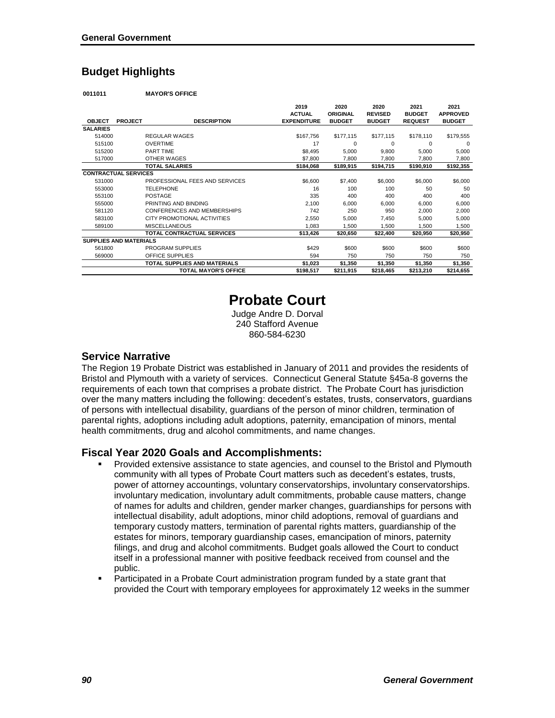## **Budget Highlights**

**0011011 MAYOR'S OFFICE**

|                               |                |                                   | 2019               | 2020            | 2020           | 2021           | 2021            |
|-------------------------------|----------------|-----------------------------------|--------------------|-----------------|----------------|----------------|-----------------|
|                               |                |                                   | <b>ACTUAL</b>      | <b>ORIGINAL</b> | <b>REVISED</b> | <b>BUDGET</b>  | <b>APPROVED</b> |
| <b>OBJECT</b>                 | <b>PROJECT</b> | <b>DESCRIPTION</b>                | <b>EXPENDITURE</b> | <b>BUDGET</b>   | <b>BUDGET</b>  | <b>REQUEST</b> | <b>BUDGET</b>   |
| <b>SALARIES</b>               |                |                                   |                    |                 |                |                |                 |
| 514000                        |                | <b>REGULAR WAGES</b>              | \$167,756          | \$177,115       | \$177,115      | \$178,110      | \$179,555       |
| 515100                        |                | <b>OVERTIME</b>                   | 17                 | 0               | 0              | 0              | 0               |
| 515200                        |                | <b>PART TIME</b>                  | \$8,495            | 5,000           | 9,800          | 5,000          | 5,000           |
| 517000                        |                | <b>OTHER WAGES</b>                | \$7,800            | 7,800           | 7,800          | 7,800          | 7,800           |
|                               |                | <b>TOTAL SALARIES</b>             | \$184,068          | \$189,915       | \$194,715      | \$190,910      | \$192,355       |
| <b>CONTRACTUAL SERVICES</b>   |                |                                   |                    |                 |                |                |                 |
| 531000                        |                | PROFESSIONAL FEES AND SERVICES    | \$6,600            | \$7,400         | \$6,000        | \$6,000        | \$6,000         |
| 553000                        |                | <b>TELEPHONE</b>                  | 16                 | 100             | 100            | 50             | 50              |
| 553100                        |                | <b>POSTAGE</b>                    | 335                | 400             | 400            | 400            | 400             |
| 555000                        |                | PRINTING AND BINDING              | 2,100              | 6,000           | 6,000          | 6,000          | 6,000           |
| 581120                        |                | CONFERENCES AND MEMBERSHIPS       | 742                | 250             | 950            | 2,000          | 2,000           |
| 583100                        |                | CITY PROMOTIONAL ACTIVITIES       | 2,550              | 5,000           | 7,450          | 5,000          | 5,000           |
| 589100                        |                | <b>MISCELLANEOUS</b>              | 1.083              | 1,500           | 1.500          | 1.500          | 1,500           |
|                               |                | <b>TOTAL CONTRACTUAL SERVICES</b> | \$13,426           | \$20,650        | \$22,400       | \$20,950       | \$20,950        |
| <b>SUPPLIES AND MATERIALS</b> |                |                                   |                    |                 |                |                |                 |
| 561800                        |                | PROGRAM SUPPLIES                  | \$429              | \$600           | \$600          | \$600          | \$600           |
| 569000                        |                | OFFICE SUPPLIES                   | 594                | 750             | 750            | 750            | 750             |
|                               |                | TOTAL SUPPLIES AND MATERIALS      | \$1,023            | \$1,350         | \$1,350        | \$1,350        | \$1,350         |
|                               |                | <b>TOTAL MAYOR'S OFFICE</b>       | \$198,517          | \$211,915       | \$218,465      | \$213,210      | \$214,655       |

# **Probate Court**

Judge Andre D. Dorval 240 Stafford Avenue 860-584-6230

#### **Service Narrative**

The Region 19 Probate District was established in January of 2011 and provides the residents of Bristol and Plymouth with a variety of services. Connecticut General Statute §45a-8 governs the requirements of each town that comprises a probate district. The Probate Court has jurisdiction over the many matters including the following: decedent's estates, trusts, conservators, guardians of persons with intellectual disability, guardians of the person of minor children, termination of parental rights, adoptions including adult adoptions, paternity, emancipation of minors, mental health commitments, drug and alcohol commitments, and name changes.

#### **Fiscal Year 2020 Goals and Accomplishments:**

- Provided extensive assistance to state agencies, and counsel to the Bristol and Plymouth community with all types of Probate Court matters such as decedent's estates, trusts, power of attorney accountings, voluntary conservatorships, involuntary conservatorships. involuntary medication, involuntary adult commitments, probable cause matters, change of names for adults and children, gender marker changes, guardianships for persons with intellectual disability, adult adoptions, minor child adoptions, removal of guardians and temporary custody matters, termination of parental rights matters, guardianship of the estates for minors, temporary guardianship cases, emancipation of minors, paternity filings, and drug and alcohol commitments. Budget goals allowed the Court to conduct itself in a professional manner with positive feedback received from counsel and the public.
- Participated in a Probate Court administration program funded by a state grant that provided the Court with temporary employees for approximately 12 weeks in the summer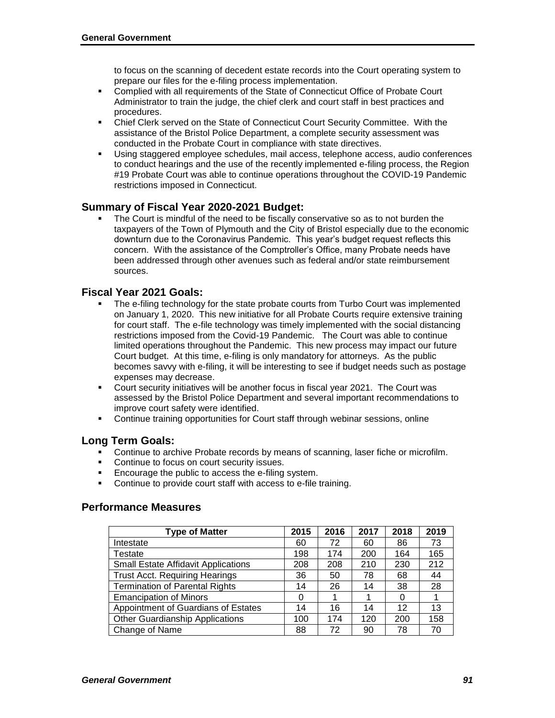to focus on the scanning of decedent estate records into the Court operating system to prepare our files for the e-filing process implementation.

- Complied with all requirements of the State of Connecticut Office of Probate Court Administrator to train the judge, the chief clerk and court staff in best practices and procedures.
- Chief Clerk served on the State of Connecticut Court Security Committee. With the assistance of the Bristol Police Department, a complete security assessment was conducted in the Probate Court in compliance with state directives.
- Using staggered employee schedules, mail access, telephone access, audio conferences to conduct hearings and the use of the recently implemented e-filing process, the Region #19 Probate Court was able to continue operations throughout the COVID-19 Pandemic restrictions imposed in Connecticut.

#### **Summary of Fiscal Year 2020-2021 Budget:**

 The Court is mindful of the need to be fiscally conservative so as to not burden the taxpayers of the Town of Plymouth and the City of Bristol especially due to the economic downturn due to the Coronavirus Pandemic. This year's budget request reflects this concern. With the assistance of the Comptroller's Office, many Probate needs have been addressed through other avenues such as federal and/or state reimbursement sources.

#### **Fiscal Year 2021 Goals:**

- The e-filing technology for the state probate courts from Turbo Court was implemented on January 1, 2020. This new initiative for all Probate Courts require extensive training for court staff. The e-file technology was timely implemented with the social distancing restrictions imposed from the Covid-19 Pandemic. The Court was able to continue limited operations throughout the Pandemic. This new process may impact our future Court budget. At this time, e-filing is only mandatory for attorneys. As the public becomes savvy with e-filing, it will be interesting to see if budget needs such as postage expenses may decrease.
- Court security initiatives will be another focus in fiscal year 2021. The Court was assessed by the Bristol Police Department and several important recommendations to improve court safety were identified.
- Continue training opportunities for Court staff through webinar sessions, online

#### **Long Term Goals:**

- **Continue to archive Probate records by means of scanning, laser fiche or microfilm.**
- Continue to focus on court security issues.
- Encourage the public to access the e-filing system.
- Continue to provide court staff with access to e-file training.

#### **Performance Measures**

| <b>Type of Matter</b>                      | 2015 | 2016 | 2017 | 2018 | 2019 |
|--------------------------------------------|------|------|------|------|------|
| Intestate                                  | 60   | 72   | 60   | 86   | 73   |
| Testate                                    | 198  | 174  | 200  | 164  | 165  |
| <b>Small Estate Affidavit Applications</b> | 208  | 208  | 210  | 230  | 212  |
| <b>Trust Acct. Requiring Hearings</b>      | 36   | 50   | 78   | 68   | 44   |
| <b>Termination of Parental Rights</b>      | 14   | 26   | 14   | 38   | 28   |
| <b>Emancipation of Minors</b>              | 0    |      |      | 0    |      |
| Appointment of Guardians of Estates        | 14   | 16   | 14   | 12   | 13   |
| <b>Other Guardianship Applications</b>     | 100  | 174  | 120  | 200  | 158  |
| Change of Name                             | 88   | 72   | 90   | 78   | 70   |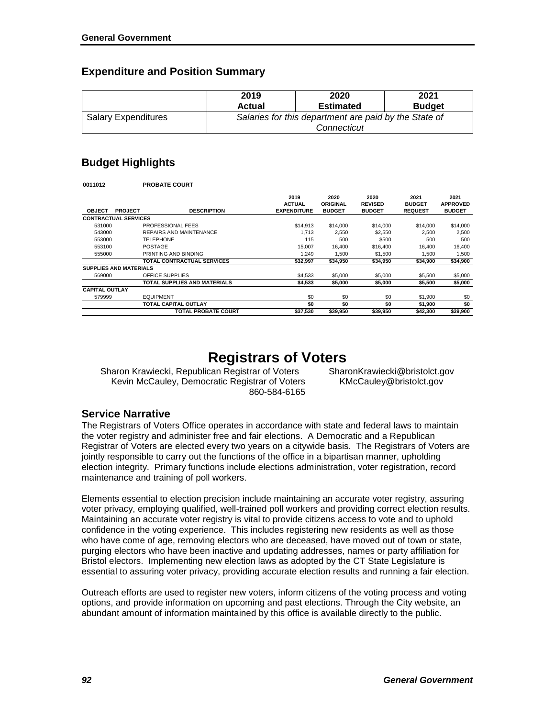## **Expenditure and Position Summary**

|                            | 2019   | 2020                                                                 | 2021          |
|----------------------------|--------|----------------------------------------------------------------------|---------------|
|                            | Actual | <b>Estimated</b>                                                     | <b>Budget</b> |
| <b>Salary Expenditures</b> |        | Salaries for this department are paid by the State of<br>Connecticut |               |

## **Budget Highlights**

| 0011012               | <b>PROBATE COURT</b>                 |                                             |                                   |                                         |                                         |                                          |
|-----------------------|--------------------------------------|---------------------------------------------|-----------------------------------|-----------------------------------------|-----------------------------------------|------------------------------------------|
| <b>OBJECT</b>         | <b>DESCRIPTION</b><br><b>PROJECT</b> | 2019<br><b>ACTUAL</b><br><b>EXPENDITURE</b> | 2020<br>ORIGINAL<br><b>BUDGET</b> | 2020<br><b>REVISED</b><br><b>BUDGET</b> | 2021<br><b>BUDGET</b><br><b>REQUEST</b> | 2021<br><b>APPROVED</b><br><b>BUDGET</b> |
|                       | <b>CONTRACTUAL SERVICES</b>          |                                             |                                   |                                         |                                         |                                          |
| 531000                | PROFESSIONAL FEES                    | \$14.913                                    | \$14,000                          | \$14,000                                | \$14,000                                | \$14,000                                 |
| 543000                | REPAIRS AND MAINTENANCE              | 1.713                                       | 2,550                             | \$2,550                                 | 2,500                                   | 2,500                                    |
| 553000                | <b>TELEPHONE</b>                     | 115                                         | 500                               | \$500                                   | 500                                     | 500                                      |
| 553100                | <b>POSTAGE</b>                       | 15.007                                      | 16.400                            | \$16,400                                | 16.400                                  | 16.400                                   |
| 555000                | PRINTING AND BINDING                 | 1.249                                       | 1.500                             | \$1,500                                 | 1.500                                   | 1,500                                    |
|                       | <b>TOTAL CONTRACTUAL SERVICES</b>    | \$32,997                                    | \$34,950                          | \$34,950                                | \$34,900                                | \$34,900                                 |
|                       | <b>SUPPLIES AND MATERIALS</b>        |                                             |                                   |                                         |                                         |                                          |
| 569000                | OFFICE SUPPLIES                      | \$4.533                                     | \$5,000                           | \$5,000                                 | \$5,500                                 | \$5,000                                  |
|                       | TOTAL SUPPLIES AND MATERIALS         | \$4,533                                     | \$5,000                           | \$5,000                                 | \$5,500                                 | \$5,000                                  |
| <b>CAPITAL OUTLAY</b> |                                      |                                             |                                   |                                         |                                         |                                          |
| 579999                | <b>EQUIPMENT</b>                     | \$0                                         | \$0                               | \$0                                     | \$1,900                                 | \$0                                      |
|                       | <b>TOTAL CAPITAL OUTLAY</b>          | \$0                                         | \$0                               | \$0                                     | \$1,900                                 | \$0                                      |
|                       | TOTAL PROBATE COURT                  | \$37,530                                    | \$39,950                          | \$39,950                                | \$42,300                                | \$39,900                                 |

# **Registrars of Voters**

Sharon Krawiecki, Republican Registrar of Voters SharonKrawiecki@bristolct.gov Kevin McCauley, Democratic Registrar of Voters KMcCauley@bristolct.gov 860-584-6165

## **Service Narrative**

The Registrars of Voters Office operates in accordance with state and federal laws to maintain the voter registry and administer free and fair elections. A Democratic and a Republican Registrar of Voters are elected every two years on a citywide basis. The Registrars of Voters are jointly responsible to carry out the functions of the office in a bipartisan manner, upholding election integrity. Primary functions include elections administration, voter registration, record maintenance and training of poll workers.

Elements essential to election precision include maintaining an accurate voter registry, assuring voter privacy, employing qualified, well-trained poll workers and providing correct election results. Maintaining an accurate voter registry is vital to provide citizens access to vote and to uphold confidence in the voting experience. This includes registering new residents as well as those who have come of age, removing electors who are deceased, have moved out of town or state, purging electors who have been inactive and updating addresses, names or party affiliation for Bristol electors. Implementing new election laws as adopted by the CT State Legislature is essential to assuring voter privacy, providing accurate election results and running a fair election.

Outreach efforts are used to register new voters, inform citizens of the voting process and voting options, and provide information on upcoming and past elections. Through the City website, an abundant amount of information maintained by this office is available directly to the public.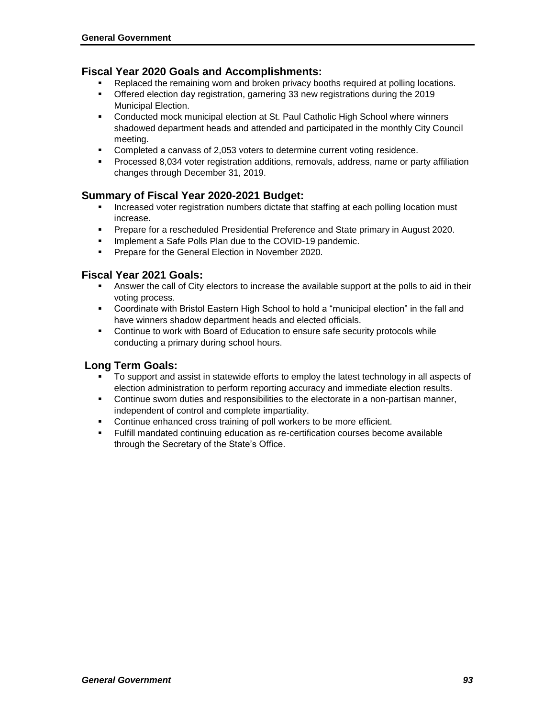#### **Fiscal Year 2020 Goals and Accomplishments:**

- Replaced the remaining worn and broken privacy booths required at polling locations.
- Offered election day registration, garnering 33 new registrations during the 2019 Municipal Election.
- Conducted mock municipal election at St. Paul Catholic High School where winners shadowed department heads and attended and participated in the monthly City Council meeting.
- Completed a canvass of 2,053 voters to determine current voting residence.
- Processed 8,034 voter registration additions, removals, address, name or party affiliation changes through December 31, 2019.

#### **Summary of Fiscal Year 2020-2021 Budget:**

- **Increased voter registration numbers dictate that staffing at each polling location must** increase.
- **Prepare for a rescheduled Presidential Preference and State primary in August 2020.**
- **Implement a Safe Polls Plan due to the COVID-19 pandemic.**
- **Prepare for the General Election in November 2020.**

#### **Fiscal Year 2021 Goals:**

- Answer the call of City electors to increase the available support at the polls to aid in their voting process.
- Coordinate with Bristol Eastern High School to hold a "municipal election" in the fall and have winners shadow department heads and elected officials.
- Continue to work with Board of Education to ensure safe security protocols while conducting a primary during school hours.

#### **Long Term Goals:**

- To support and assist in statewide efforts to employ the latest technology in all aspects of election administration to perform reporting accuracy and immediate election results.
- Continue sworn duties and responsibilities to the electorate in a non-partisan manner, independent of control and complete impartiality.
- Continue enhanced cross training of poll workers to be more efficient.
- Fulfill mandated continuing education as re-certification courses become available through the Secretary of the State's Office.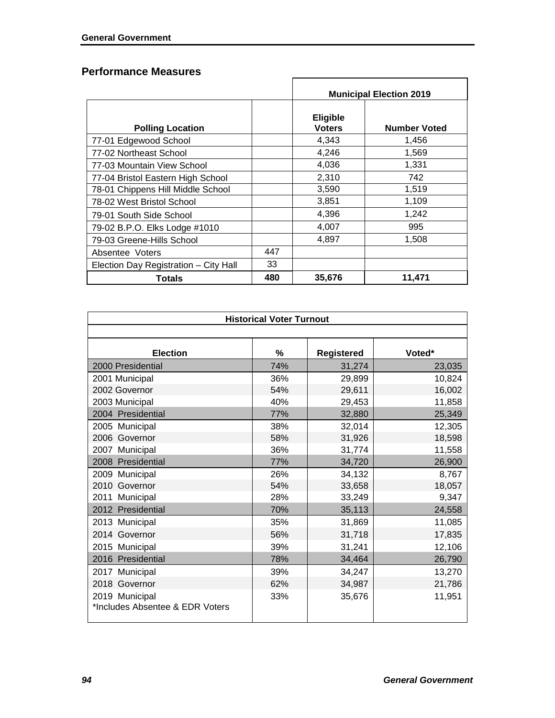## **Performance Measures**

|                                       | <b>Municipal Election 2019</b> |                                  |                     |  |  |  |
|---------------------------------------|--------------------------------|----------------------------------|---------------------|--|--|--|
| <b>Polling Location</b>               |                                | <b>Eligible</b><br><b>Voters</b> | <b>Number Voted</b> |  |  |  |
| 77-01 Edgewood School                 |                                | 4,343                            | 1,456               |  |  |  |
| 77-02 Northeast School                |                                | 4,246                            | 1,569               |  |  |  |
| 77-03 Mountain View School            |                                | 4,036                            | 1,331               |  |  |  |
| 77-04 Bristol Eastern High School     |                                | 2,310                            | 742                 |  |  |  |
| 78-01 Chippens Hill Middle School     |                                | 3,590                            | 1,519               |  |  |  |
| 78-02 West Bristol School             |                                | 3,851                            | 1,109               |  |  |  |
| 79-01 South Side School               |                                | 4,396                            | 1,242               |  |  |  |
| 79-02 B.P.O. Elks Lodge #1010         |                                | 4,007                            | 995                 |  |  |  |
| 79-03 Greene-Hills School             |                                | 4,897                            | 1,508               |  |  |  |
| Absentee Voters                       | 447                            |                                  |                     |  |  |  |
| Election Day Registration - City Hall | 33                             |                                  |                     |  |  |  |
| Totals                                | 480                            | 35,676                           | 11,471              |  |  |  |

| <b>Historical Voter Turnout</b>                   |     |            |        |  |  |  |  |  |
|---------------------------------------------------|-----|------------|--------|--|--|--|--|--|
|                                                   |     |            |        |  |  |  |  |  |
| <b>Election</b>                                   | %   | Registered | Voted* |  |  |  |  |  |
| 2000 Presidential                                 | 74% | 31,274     | 23,035 |  |  |  |  |  |
| 2001 Municipal                                    | 36% | 29,899     | 10,824 |  |  |  |  |  |
| 2002 Governor                                     | 54% | 29,611     | 16,002 |  |  |  |  |  |
| 2003 Municipal                                    | 40% | 29,453     | 11,858 |  |  |  |  |  |
| 2004 Presidential                                 | 77% | 32,880     | 25,349 |  |  |  |  |  |
| 2005 Municipal                                    | 38% | 32,014     | 12,305 |  |  |  |  |  |
| 2006 Governor                                     | 58% | 31,926     | 18,598 |  |  |  |  |  |
| 2007 Municipal                                    | 36% | 31,774     | 11,558 |  |  |  |  |  |
| Presidential<br>2008                              | 77% | 34,720     | 26,900 |  |  |  |  |  |
| 2009 Municipal                                    | 26% | 34,132     | 8,767  |  |  |  |  |  |
| 2010 Governor                                     | 54% | 33,658     | 18,057 |  |  |  |  |  |
| 2011<br>Municipal                                 | 28% | 33,249     | 9,347  |  |  |  |  |  |
| 2012 Presidential                                 | 70% | 35,113     | 24,558 |  |  |  |  |  |
| 2013 Municipal                                    | 35% | 31,869     | 11,085 |  |  |  |  |  |
| 2014 Governor                                     | 56% | 31,718     | 17,835 |  |  |  |  |  |
| 2015 Municipal                                    | 39% | 31,241     | 12,106 |  |  |  |  |  |
| 2016 Presidential                                 | 78% | 34,464     | 26,790 |  |  |  |  |  |
| 2017 Municipal                                    | 39% | 34,247     | 13,270 |  |  |  |  |  |
| 2018 Governor                                     | 62% | 34,987     | 21,786 |  |  |  |  |  |
| 2019 Municipal<br>*Includes Absentee & EDR Voters | 33% | 35,676     | 11,951 |  |  |  |  |  |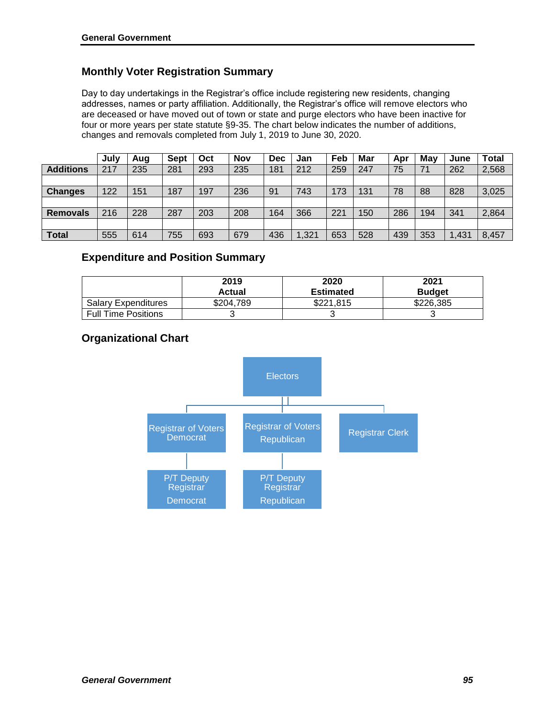## **Monthly Voter Registration Summary**

Day to day undertakings in the Registrar's office include registering new residents, changing addresses, names or party affiliation. Additionally, the Registrar's office will remove electors who are deceased or have moved out of town or state and purge electors who have been inactive for four or more years per state statute §9-35. The chart below indicates the number of additions, changes and removals completed from July 1, 2019 to June 30, 2020.

|                  | July | Aug | <b>Sept</b> | Oct | <b>Nov</b> | <b>Dec</b> | Jan   | Feb | Mar | Apr | May | June | <b>Total</b> |
|------------------|------|-----|-------------|-----|------------|------------|-------|-----|-----|-----|-----|------|--------------|
| <b>Additions</b> | 217  | 235 | 281         | 293 | 235        | 181        | 212   | 259 | 247 | 75  | 71  | 262  | 2,568        |
|                  |      |     |             |     |            |            |       |     |     |     |     |      |              |
| <b>Changes</b>   | 122  | 151 | 187         | 197 | 236        | 91         | 743   | 173 | 131 | 78  | 88  | 828  | 3,025        |
|                  |      |     |             |     |            |            |       |     |     |     |     |      |              |
| <b>Removals</b>  | 216  | 228 | 287         | 203 | 208        | 164        | 366   | 221 | 150 | 286 | 194 | 341  | 2,864        |
|                  |      |     |             |     |            |            |       |     |     |     |     |      |              |
| <b>Total</b>     | 555  | 614 | 755         | 693 | 679        | 436        | 1.321 | 653 | 528 | 439 | 353 | ,431 | 8,457        |

### **Expenditure and Position Summary**

|                            | 2019<br><b>Actual</b> | 2020<br><b>Estimated</b> | 2021<br><b>Budget</b> |
|----------------------------|-----------------------|--------------------------|-----------------------|
| <b>Salary Expenditures</b> | \$204,789             | \$221.815                | \$226,385             |
| <b>Full Time Positions</b> |                       |                          |                       |

## **Organizational Chart**

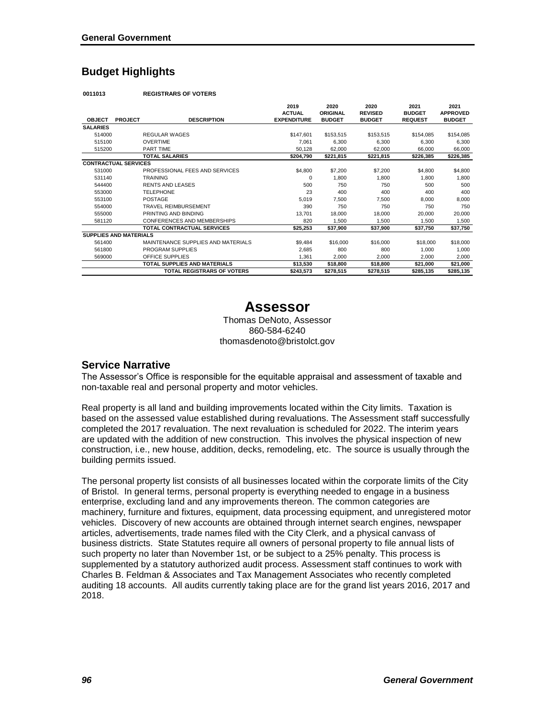## **Budget Highlights**

**0011013 REGISTRARS OF VOTERS**

|                               |                |                                     | 2019               | 2020          | 2020           | 2021           | 2021            |
|-------------------------------|----------------|-------------------------------------|--------------------|---------------|----------------|----------------|-----------------|
|                               |                |                                     | <b>ACTUAL</b>      | ORIGINAL      | <b>REVISED</b> | <b>BUDGET</b>  | <b>APPROVED</b> |
| <b>OBJECT</b>                 | <b>PROJECT</b> | <b>DESCRIPTION</b>                  | <b>EXPENDITURE</b> | <b>BUDGET</b> | <b>BUDGET</b>  | <b>REQUEST</b> | <b>BUDGET</b>   |
| <b>SALARIES</b>               |                |                                     |                    |               |                |                |                 |
| 514000                        |                | <b>REGULAR WAGES</b>                | \$147,601          | \$153,515     | \$153,515      | \$154,085      | \$154,085       |
| 515100                        |                | <b>OVERTIME</b>                     | 7,061              | 6,300         | 6,300          | 6,300          | 6,300           |
| 515200                        |                | <b>PART TIME</b>                    | 50,128             | 62,000        | 62.000         | 66,000         | 66,000          |
|                               |                | <b>TOTAL SALARIES</b>               | \$204,790          | \$221,815     | \$221,815      | \$226,385      | \$226,385       |
| <b>CONTRACTUAL SERVICES</b>   |                |                                     |                    |               |                |                |                 |
| 531000                        |                | PROFESSIONAL FEES AND SERVICES      | \$4,800            | \$7,200       | \$7,200        | \$4,800        | \$4,800         |
| 531140                        |                | <b>TRAINING</b>                     | $\Omega$           | 1,800         | 1.800          | 1.800          | 1,800           |
| 544400                        |                | <b>RENTS AND LEASES</b>             | 500                | 750           | 750            | 500            | 500             |
| 553000                        |                | <b>TELEPHONE</b>                    | 23                 | 400           | 400            | 400            | 400             |
| 553100                        |                | POSTAGE                             | 5,019              | 7,500         | 7.500          | 8.000          | 8,000           |
| 554000                        |                | <b>TRAVEL REIMBURSEMENT</b>         | 390                | 750           | 750            | 750            | 750             |
| 555000                        |                | PRINTING AND BINDING                | 13.701             | 18,000        | 18,000         | 20,000         | 20,000          |
| 581120                        |                | CONFERENCES AND MEMBERSHIPS         | 820                | 1,500         | 1,500          | 1,500          | 1,500           |
|                               |                | <b>TOTAL CONTRACTUAL SERVICES</b>   | \$25,253           | \$37,900      | \$37.900       | \$37.750       | \$37,750        |
| <b>SUPPLIES AND MATERIALS</b> |                |                                     |                    |               |                |                |                 |
| 561400                        |                | MAINTENANCE SUPPLIES AND MATERIALS  | \$9,484            | \$16,000      | \$16,000       | \$18,000       | \$18,000        |
| 561800                        |                | PROGRAM SUPPLIES                    | 2,685              | 800           | 800            | 1,000          | 1,000           |
| 569000                        |                | OFFICE SUPPLIES                     | 1,361              | 2,000         | 2,000          | 2,000          | 2,000           |
|                               |                | <b>TOTAL SUPPLIES AND MATERIALS</b> | \$13,530           | \$18,800      | \$18,800       | \$21,000       | \$21,000        |
|                               |                | <b>TOTAL REGISTRARS OF VOTERS</b>   | \$243,573          | \$278,515     | \$278,515      | \$285,135      | \$285,135       |

## **Assessor**

Thomas DeNoto, Assessor 860-584-6240 thomasdenoto@bristolct.gov

#### **Service Narrative**

The Assessor's Office is responsible for the equitable appraisal and assessment of taxable and non-taxable real and personal property and motor vehicles.

Real property is all land and building improvements located within the City limits. Taxation is based on the assessed value established during revaluations. The Assessment staff successfully completed the 2017 revaluation. The next revaluation is scheduled for 2022. The interim years are updated with the addition of new construction. This involves the physical inspection of new construction, i.e., new house, addition, decks, remodeling, etc. The source is usually through the building permits issued.

The personal property list consists of all businesses located within the corporate limits of the City of Bristol. In general terms, personal property is everything needed to engage in a business enterprise, excluding land and any improvements thereon. The common categories are machinery, furniture and fixtures, equipment, data processing equipment, and unregistered motor vehicles. Discovery of new accounts are obtained through internet search engines, newspaper articles, advertisements, trade names filed with the City Clerk, and a physical canvass of business districts. State Statutes require all owners of personal property to file annual lists of such property no later than November 1st, or be subject to a 25% penalty. This process is supplemented by a statutory authorized audit process. Assessment staff continues to work with Charles B. Feldman & Associates and Tax Management Associates who recently completed auditing 18 accounts. All audits currently taking place are for the grand list years 2016, 2017 and 2018.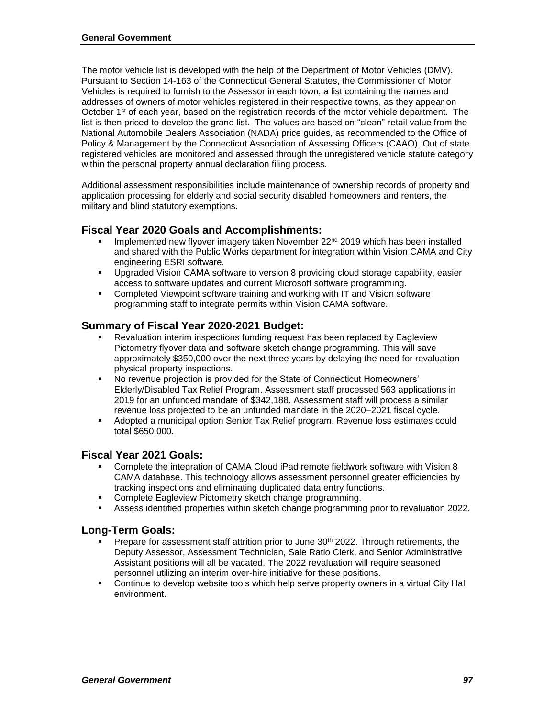The motor vehicle list is developed with the help of the Department of Motor Vehicles (DMV). Pursuant to Section 14-163 of the Connecticut General Statutes, the Commissioner of Motor Vehicles is required to furnish to the Assessor in each town, a list containing the names and addresses of owners of motor vehicles registered in their respective towns, as they appear on October 1<sup>st</sup> of each year, based on the registration records of the motor vehicle department. The list is then priced to develop the grand list. The values are based on "clean" retail value from the National Automobile Dealers Association (NADA) price guides, as recommended to the Office of Policy & Management by the Connecticut Association of Assessing Officers (CAAO). Out of state registered vehicles are monitored and assessed through the unregistered vehicle statute category within the personal property annual declaration filing process.

Additional assessment responsibilities include maintenance of ownership records of property and application processing for elderly and social security disabled homeowners and renters, the military and blind statutory exemptions.

#### **Fiscal Year 2020 Goals and Accomplishments:**

- Implemented new flyover imagery taken November  $22<sup>nd</sup>$  2019 which has been installed and shared with the Public Works department for integration within Vision CAMA and City engineering ESRI software.
- Upgraded Vision CAMA software to version 8 providing cloud storage capability, easier access to software updates and current Microsoft software programming.
- **Completed Viewpoint software training and working with IT and Vision software** programming staff to integrate permits within Vision CAMA software.

#### **Summary of Fiscal Year 2020-2021 Budget:**

- Revaluation interim inspections funding request has been replaced by Eagleview Pictometry flyover data and software sketch change programming. This will save approximately \$350,000 over the next three years by delaying the need for revaluation physical property inspections.
- No revenue projection is provided for the State of Connecticut Homeowners' Elderly/Disabled Tax Relief Program. Assessment staff processed 563 applications in 2019 for an unfunded mandate of \$342,188. Assessment staff will process a similar revenue loss projected to be an unfunded mandate in the 2020–2021 fiscal cycle.
- Adopted a municipal option Senior Tax Relief program. Revenue loss estimates could total \$650,000.

#### **Fiscal Year 2021 Goals:**

- Complete the integration of CAMA Cloud iPad remote fieldwork software with Vision 8 CAMA database. This technology allows assessment personnel greater efficiencies by tracking inspections and eliminating duplicated data entry functions.
- Complete Eagleview Pictometry sketch change programming.
- **Assess identified properties within sketch change programming prior to revaluation 2022.**

#### **Long-Term Goals:**

- Prepare for assessment staff attrition prior to June 30<sup>th</sup> 2022. Through retirements, the Deputy Assessor, Assessment Technician, Sale Ratio Clerk, and Senior Administrative Assistant positions will all be vacated. The 2022 revaluation will require seasoned personnel utilizing an interim over-hire initiative for these positions.
- Continue to develop website tools which help serve property owners in a virtual City Hall environment.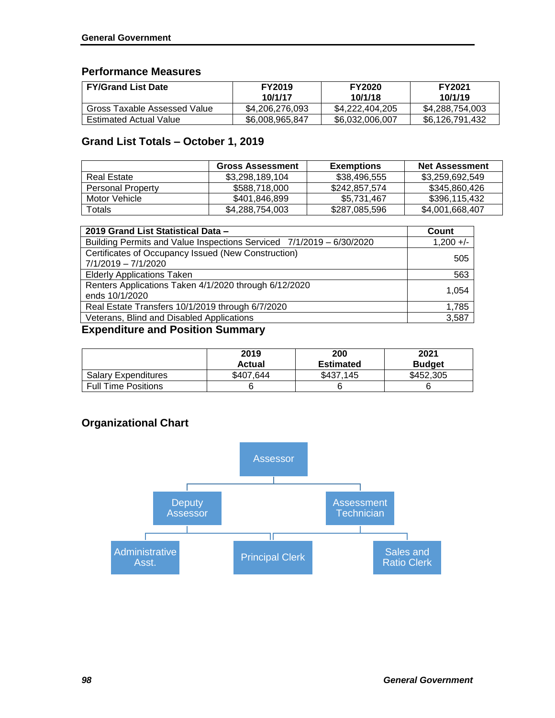## **Performance Measures**

| <b>FY/Grand List Date</b>     | <b>FY2019</b><br>10/1/17 | <b>FY2020</b><br>10/1/18 | <b>FY2021</b><br>10/1/19 |
|-------------------------------|--------------------------|--------------------------|--------------------------|
| Gross Taxable Assessed Value  | \$4,206,276,093          | \$4.222.404.205          | \$4,288,754,003          |
| <b>Estimated Actual Value</b> | \$6,008,965,847          | \$6,032,006,007          | \$6,126,791,432          |

## **Grand List Totals – October 1, 2019**

|                          | <b>Gross Assessment</b> | <b>Exemptions</b> | <b>Net Assessment</b> |
|--------------------------|-------------------------|-------------------|-----------------------|
| <b>Real Estate</b>       | \$3,298,189,104         | \$38,496,555      | \$3,259,692,549       |
| <b>Personal Property</b> | \$588,718,000           | \$242,857,574     | \$345,860,426         |
| Motor Vehicle            | \$401,846,899           | \$5.731.467       | \$396.115.432         |
| Totals                   | \$4,288,754,003         | \$287,085,596     | \$4,001,668,407       |

| 2019 Grand List Statistical Data -                                           | Count       |
|------------------------------------------------------------------------------|-------------|
| Building Permits and Value Inspections Serviced 7/1/2019 - 6/30/2020         | $1,200 +/-$ |
| Certificates of Occupancy Issued (New Construction)<br>$7/1/2019 - 7/1/2020$ | 505         |
| <b>Elderly Applications Taken</b>                                            | 563         |
| Renters Applications Taken 4/1/2020 through 6/12/2020<br>ends 10/1/2020      | 1.054       |
| Real Estate Transfers 10/1/2019 through 6/7/2020                             | 1,785       |
| Veterans, Blind and Disabled Applications                                    | 3,587       |

## **Expenditure and Position Summary**

|                            | 2019<br>Actual | 200<br><b>Estimated</b> | 2021<br><b>Budget</b> |
|----------------------------|----------------|-------------------------|-----------------------|
| <b>Salary Expenditures</b> | \$407.644      | \$437.145               | \$452,305             |
| <b>Full Time Positions</b> |                |                         |                       |

## **Organizational Chart**

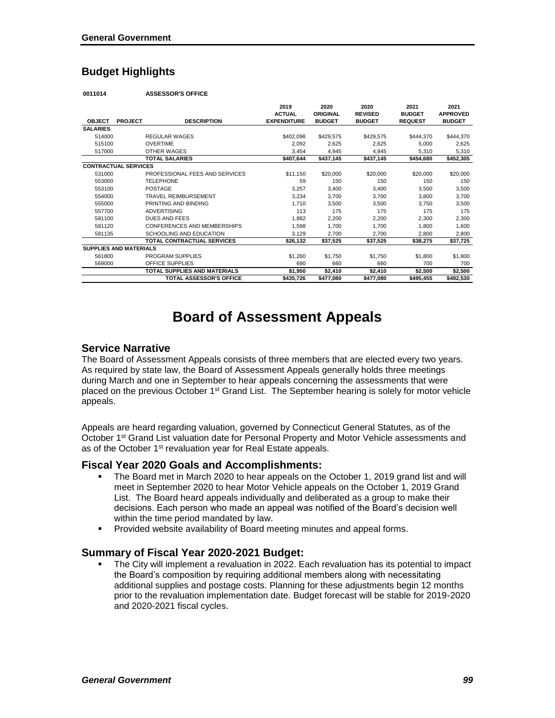## **Budget Highlights**

**0011014 ASSESSOR'S OFFICE**

|                               |                |                                   | 2019               | 2020            | 2020           | 2021           | 2021            |
|-------------------------------|----------------|-----------------------------------|--------------------|-----------------|----------------|----------------|-----------------|
|                               |                |                                   | <b>ACTUAL</b>      | <b>ORIGINAL</b> | <b>REVISED</b> | <b>BUDGET</b>  | <b>APPROVED</b> |
| <b>OBJECT</b>                 | <b>PROJECT</b> | <b>DESCRIPTION</b>                | <b>EXPENDITURE</b> | <b>BUDGET</b>   | <b>BUDGET</b>  | <b>REQUEST</b> | <b>BUDGET</b>   |
| <b>SALARIES</b>               |                |                                   |                    |                 |                |                |                 |
| 514000                        |                | <b>REGULAR WAGES</b>              | \$402,098          | \$429,575       | \$429,575      | \$444,370      | \$444,370       |
| 515100                        |                | <b>OVERTIME</b>                   | 2,092              | 2,625           | 2,625          | 5,000          | 2,625           |
| 517000                        |                | OTHER WAGES                       | 3,454              | 4,945           | 4,945          | 5,310          | 5,310           |
|                               |                | <b>TOTAL SALARIES</b>             | \$407,644          | \$437,145       | \$437,145      | \$454,680      | \$452,305       |
| <b>CONTRACTUAL SERVICES</b>   |                |                                   |                    |                 |                |                |                 |
| 531000                        |                | PROFESSIONAL FEES AND SERVICES    | \$11,150           | \$20,000        | \$20,000       | \$20,000       | \$20,000        |
| 553000                        |                | <b>TELEPHONE</b>                  | 59                 | 150             | 150            | 150            | 150             |
| 553100                        |                | <b>POSTAGE</b>                    | 3,257              | 3,400           | 3,400          | 3,500          | 3,500           |
| 554000                        |                | TRAVEL REIMBURSEMENT              | 3,234              | 3,700           | 3,700          | 3,800          | 3,700           |
| 555000                        |                | PRINTING AND BINDING              | 1.710              | 3,500           | 3,500          | 3.750          | 3,500           |
| 557700                        |                | <b>ADVERTISING</b>                | 113                | 175             | 175            | 175            | 175             |
| 581100                        |                | <b>DUES AND FEES</b>              | 1,882              | 2,200           | 2,200          | 2,300          | 2,300           |
| 581120                        |                | CONFERENCES AND MEMBERSHIPS       | 1,598              | 1,700           | 1.700          | 1,800          | 1,600           |
| 581135                        |                | SCHOOLING AND EDUCATION           | 3,129              | 2,700           | 2.700          | 2.800          | 2,800           |
|                               |                | <b>TOTAL CONTRACTUAL SERVICES</b> | \$26,132           | \$37,525        | \$37,525       | \$38,275       | \$37,725        |
| <b>SUPPLIES AND MATERIALS</b> |                |                                   |                    |                 |                |                |                 |
| 561800                        |                | PROGRAM SUPPLIES                  | \$1,260            | \$1,750         | \$1,750        | \$1,800        | \$1,800         |
| 569000                        |                | <b>OFFICE SUPPLIES</b>            | 690                | 660             | 660            | 700            | 700             |
|                               |                | TOTAL SUPPLIES AND MATERIALS      | \$1,950            | \$2,410         | \$2,410        | \$2,500        | \$2,500         |
|                               |                | <b>TOTAL ASSESSOR'S OFFICE</b>    | \$435,726          | \$477,080       | \$477,080      | \$495,455      | \$492,530       |

# **Board of Assessment Appeals**

#### **Service Narrative**

The Board of Assessment Appeals consists of three members that are elected every two years. As required by state law, the Board of Assessment Appeals generally holds three meetings during March and one in September to hear appeals concerning the assessments that were placed on the previous October 1st Grand List. The September hearing is solely for motor vehicle appeals.

Appeals are heard regarding valuation, governed by Connecticut General Statutes, as of the October 1<sup>st</sup> Grand List valuation date for Personal Property and Motor Vehicle assessments and as of the October 1<sup>st</sup> revaluation year for Real Estate appeals.

#### **Fiscal Year 2020 Goals and Accomplishments:**

- The Board met in March 2020 to hear appeals on the October 1, 2019 grand list and will meet in September 2020 to hear Motor Vehicle appeals on the October 1, 2019 Grand List. The Board heard appeals individually and deliberated as a group to make their decisions. Each person who made an appeal was notified of the Board's decision well within the time period mandated by law.
- **Provided website availability of Board meeting minutes and appeal forms.**

#### **Summary of Fiscal Year 2020-2021 Budget:**

 The City will implement a revaluation in 2022. Each revaluation has its potential to impact the Board's composition by requiring additional members along with necessitating additional supplies and postage costs. Planning for these adjustments begin 12 months prior to the revaluation implementation date. Budget forecast will be stable for 2019-2020 and 2020-2021 fiscal cycles.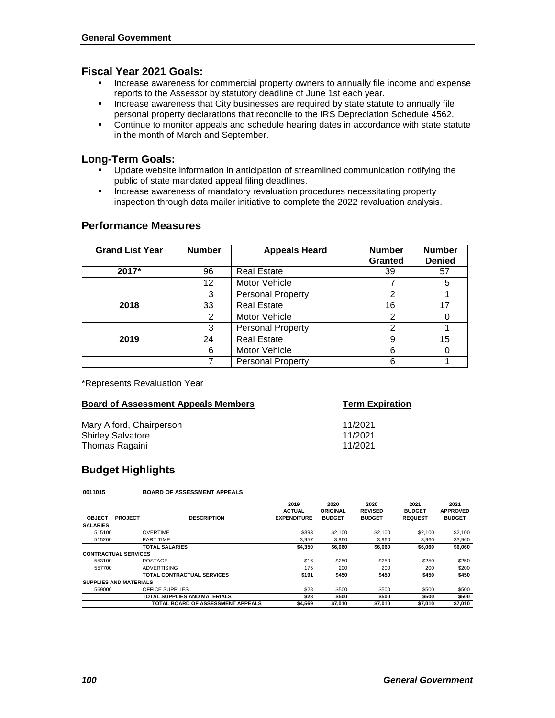#### **Fiscal Year 2021 Goals:**

- **Increase awareness for commercial property owners to annually file income and expense** reports to the Assessor by statutory deadline of June 1st each year.
- **Increase awareness that City businesses are required by state statute to annually file** personal property declarations that reconcile to the IRS Depreciation Schedule 4562.
- Continue to monitor appeals and schedule hearing dates in accordance with state statute in the month of March and September.

#### **Long-Term Goals:**

- Update website information in anticipation of streamlined communication notifying the public of state mandated appeal filing deadlines.
- **Increase awareness of mandatory revaluation procedures necessitating property** inspection through data mailer initiative to complete the 2022 revaluation analysis.

| <b>Grand List Year</b> | <b>Number</b> | <b>Appeals Heard</b>     | <b>Number</b><br><b>Granted</b> | <b>Number</b><br><b>Denied</b> |
|------------------------|---------------|--------------------------|---------------------------------|--------------------------------|
| 2017*                  | 96            | <b>Real Estate</b>       | 39                              | 57                             |
|                        | 12            | Motor Vehicle            |                                 | 5                              |
|                        | 3             | <b>Personal Property</b> | 2                               |                                |
| 2018                   | 33            | <b>Real Estate</b>       | 16                              | 17                             |
|                        | 2             | Motor Vehicle            | 2                               |                                |
|                        | 3             | <b>Personal Property</b> | 2                               |                                |
| 2019                   | 24            | <b>Real Estate</b>       | 9                               | 15                             |
|                        | 6             | Motor Vehicle            | 6                               |                                |
|                        |               | <b>Personal Property</b> | 6                               |                                |

#### **Performance Measures**

\*Represents Revaluation Year

| <b>Board of Assessment Appeals Members</b> | <b>Term Expiration</b> |
|--------------------------------------------|------------------------|
| Mary Alford, Chairperson                   | 11/2021                |
| <b>Shirley Salvatore</b>                   | 11/2021                |
| Thomas Ragaini                             | 11/2021                |

## **Budget Highlights**

**0011015 BOARD OF ASSESSMENT APPEALS**

|                               |                |                                   | 2019               | 2020          | 2020           | 2021           | 2021            |
|-------------------------------|----------------|-----------------------------------|--------------------|---------------|----------------|----------------|-----------------|
|                               |                |                                   | <b>ACTUAL</b>      | ORIGINAL      | <b>REVISED</b> | <b>BUDGET</b>  | <b>APPROVED</b> |
| <b>OBJECT</b>                 | <b>PROJECT</b> | <b>DESCRIPTION</b>                | <b>EXPENDITURE</b> | <b>BUDGET</b> | <b>BUDGET</b>  | <b>REQUEST</b> | <b>BUDGET</b>   |
| <b>SALARIES</b>               |                |                                   |                    |               |                |                |                 |
| 515100                        |                | <b>OVERTIME</b>                   | \$393              | \$2,100       | \$2,100        | \$2,100        | \$2,100         |
| 515200                        |                | PART TIME                         | 3.957              | 3.960         | 3.960          | 3.960          | \$3,960         |
|                               |                | <b>TOTAL SALARIES</b>             | \$4,350            | \$6,060       | \$6,060        | \$6,060        | \$6,060         |
| <b>CONTRACTUAL SERVICES</b>   |                |                                   |                    |               |                |                |                 |
| 553100                        |                | POSTAGE                           | \$16               | \$250         | \$250          | \$250          | \$250           |
| 557700                        |                | <b>ADVERTISING</b>                | 175                | 200           | 200            | 200            | \$200           |
|                               |                | <b>TOTAL CONTRACTUAL SERVICES</b> | \$191              | \$450         | \$450          | \$450          | \$450           |
| <b>SUPPLIES AND MATERIALS</b> |                |                                   |                    |               |                |                |                 |
| 569000                        |                | OFFICE SUPPLIES                   | \$28               | \$500         | \$500          | \$500          | \$500           |
|                               |                | TOTAL SUPPLIES AND MATERIALS      | \$28               | \$500         | \$500          | \$500          | \$500           |
|                               |                | TOTAL BOARD OF ASSESSMENT APPEALS | \$4,569            | \$7,010       | \$7,010        | \$7,010        | \$7,010         |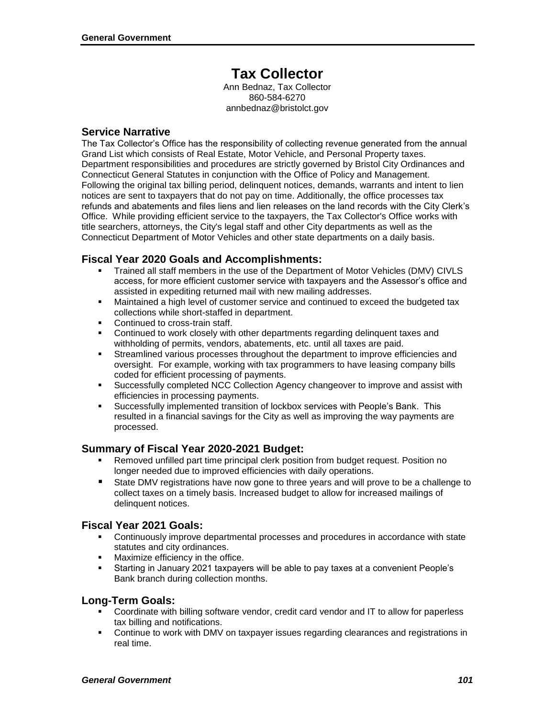# **Tax Collector**

Ann Bednaz, Tax Collector 860-584-6270 annbednaz@bristolct.gov

#### **Service Narrative**

The Tax Collector's Office has the responsibility of collecting revenue generated from the annual Grand List which consists of Real Estate, Motor Vehicle, and Personal Property taxes. Department responsibilities and procedures are strictly governed by Bristol City Ordinances and Connecticut General Statutes in conjunction with the Office of Policy and Management. Following the original tax billing period, delinquent notices, demands, warrants and intent to lien notices are sent to taxpayers that do not pay on time. Additionally, the office processes tax refunds and abatements and files liens and lien releases on the land records with the City Clerk's Office. While providing efficient service to the taxpayers, the Tax Collector's Office works with title searchers, attorneys, the City's legal staff and other City departments as well as the Connecticut Department of Motor Vehicles and other state departments on a daily basis.

#### **Fiscal Year 2020 Goals and Accomplishments:**

- Trained all staff members in the use of the Department of Motor Vehicles (DMV) CIVLS access, for more efficient customer service with taxpayers and the Assessor's office and assisted in expediting returned mail with new mailing addresses.
- Maintained a high level of customer service and continued to exceed the budgeted tax collections while short-staffed in department.
- Continued to cross-train staff.
- Continued to work closely with other departments regarding delinquent taxes and withholding of permits, vendors, abatements, etc. until all taxes are paid.
- Streamlined various processes throughout the department to improve efficiencies and oversight. For example, working with tax programmers to have leasing company bills coded for efficient processing of payments.
- Successfully completed NCC Collection Agency changeover to improve and assist with efficiencies in processing payments.
- Successfully implemented transition of lockbox services with People's Bank. This resulted in a financial savings for the City as well as improving the way payments are processed.

#### **Summary of Fiscal Year 2020-2021 Budget:**

- Removed unfilled part time principal clerk position from budget request. Position no longer needed due to improved efficiencies with daily operations.
- **State DMV registrations have now gone to three years and will prove to be a challenge to** collect taxes on a timely basis. Increased budget to allow for increased mailings of delinquent notices.

#### **Fiscal Year 2021 Goals:**

- Continuously improve departmental processes and procedures in accordance with state statutes and city ordinances.
- **Maximize efficiency in the office.**
- Starting in January 2021 taxpayers will be able to pay taxes at a convenient People's Bank branch during collection months.

#### **Long-Term Goals:**

- Coordinate with billing software vendor, credit card vendor and IT to allow for paperless tax billing and notifications.
- Continue to work with DMV on taxpayer issues regarding clearances and registrations in real time.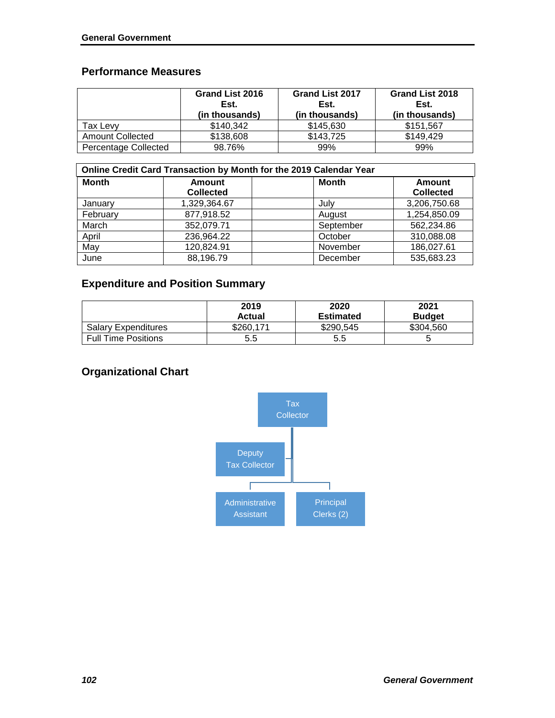## **Performance Measures**

|                             | Grand List 2016<br>Est.<br>(in thousands) | <b>Grand List 2017</b><br>Est.<br>(in thousands) | <b>Grand List 2018</b><br>Est.<br>(in thousands) |
|-----------------------------|-------------------------------------------|--------------------------------------------------|--------------------------------------------------|
| Tax Levv                    | \$140,342                                 | \$145,630                                        | \$151,567                                        |
| <b>Amount Collected</b>     | \$138,608                                 | \$143,725                                        | \$149.429                                        |
| <b>Percentage Collected</b> | 98.76%                                    | 99%                                              | 99%                                              |

| Online Credit Card Transaction by Month for the 2019 Calendar Year |                  |              |                  |  |  |
|--------------------------------------------------------------------|------------------|--------------|------------------|--|--|
| <b>Month</b>                                                       | Amount           | <b>Month</b> | Amount           |  |  |
|                                                                    | <b>Collected</b> |              | <b>Collected</b> |  |  |
| January                                                            | 1,329,364.67     | July         | 3,206,750.68     |  |  |
| February                                                           | 877,918.52       | August       | 1,254,850.09     |  |  |
| March                                                              | 352,079.71       | September    | 562,234.86       |  |  |
| April                                                              | 236,964.22       | October      | 310,088.08       |  |  |
| May                                                                | 120,824.91       | November     | 186,027.61       |  |  |
| June                                                               | 88,196.79        | December     | 535,683.23       |  |  |

## **Expenditure and Position Summary**

|                            | 2019<br>Actual | 2020<br><b>Estimated</b> | 2021<br><b>Budget</b> |
|----------------------------|----------------|--------------------------|-----------------------|
| <b>Salary Expenditures</b> | \$260.171      | \$290,545                | \$304,560             |
| <b>Full Time Positions</b> | 5.5            | 5.5                      | ບ                     |

# **Organizational Chart**

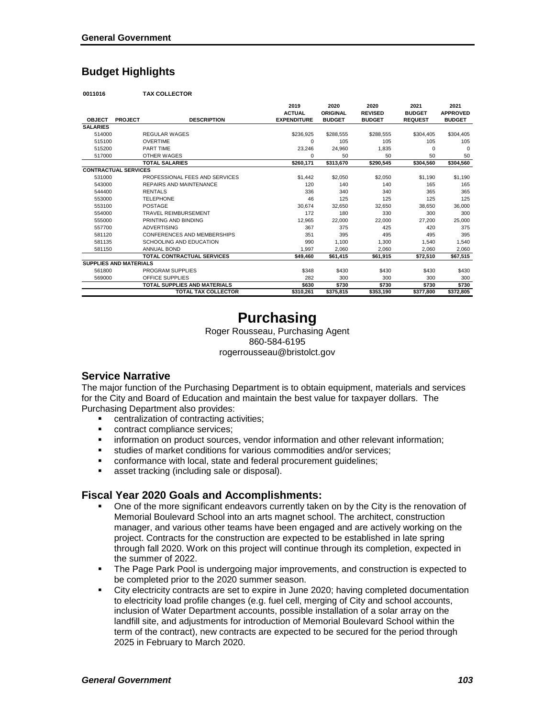## **Budget Highlights**

**0011016 TAX COLLECTOR**

|                               |                |                                     | 2019               | 2020          | 2020           | 2021           | 2021            |
|-------------------------------|----------------|-------------------------------------|--------------------|---------------|----------------|----------------|-----------------|
|                               |                |                                     | <b>ACTUAL</b>      | ORIGINAL      | <b>REVISED</b> | <b>BUDGET</b>  | <b>APPROVED</b> |
| <b>OBJECT</b>                 | <b>PROJECT</b> | <b>DESCRIPTION</b>                  | <b>EXPENDITURE</b> | <b>BUDGET</b> | <b>BUDGET</b>  | <b>REQUEST</b> | <b>BUDGET</b>   |
| <b>SALARIES</b>               |                |                                     |                    |               |                |                |                 |
| 514000                        |                | <b>REGULAR WAGES</b>                | \$236,925          | \$288.555     | \$288,555      | \$304.405      | \$304.405       |
| 515100                        |                | <b>OVERTIME</b>                     | $\Omega$           | 105           | 105            | 105            | 105             |
| 515200                        |                | PART TIME                           | 23,246             | 24.960        | 1.835          | $\Omega$       | $\Omega$        |
| 517000                        |                | OTHER WAGES                         | 0                  | 50            | 50             | 50             | 50              |
|                               |                | <b>TOTAL SALARIES</b>               | \$260,171          | \$313,670     | \$290.545      | \$304,560      | \$304,560       |
| <b>CONTRACTUAL SERVICES</b>   |                |                                     |                    |               |                |                |                 |
| 531000                        |                | PROFESSIONAL FEES AND SERVICES      | \$1,442            | \$2,050       | \$2.050        | \$1,190        | \$1,190         |
| 543000                        |                | REPAIRS AND MAINTENANCE             | 120                | 140           | 140            | 165            | 165             |
| 544400                        |                | <b>RENTALS</b>                      | 336                | 340           | 340            | 365            | 365             |
| 553000                        |                | <b>TELEPHONE</b>                    | 46                 | 125           | 125            | 125            | 125             |
| 553100                        |                | POSTAGE                             | 30.674             | 32.650        | 32.650         | 38.650         | 36,000          |
| 554000                        |                | <b>TRAVEL REIMBURSEMENT</b>         | 172                | 180           | 330            | 300            | 300             |
| 555000                        |                | PRINTING AND BINDING                | 12.965             | 22,000        | 22.000         | 27.200         | 25.000          |
| 557700                        |                | <b>ADVERTISING</b>                  | 367                | 375           | 425            | 420            | 375             |
| 581120                        |                | CONFERENCES AND MEMBERSHIPS         | 351                | 395           | 495            | 495            | 395             |
| 581135                        |                | SCHOOLING AND EDUCATION             | 990                | 1.100         | 1.300          | 1.540          | 1.540           |
| 581150                        |                | <b>ANNUAL BOND</b>                  | 1,997              | 2,060         | 2.060          | 2,060          | 2,060           |
|                               |                | <b>TOTAL CONTRACTUAL SERVICES</b>   | \$49.460           | \$61.415      | \$61,915       | \$72.510       | \$67.515        |
| <b>SUPPLIES AND MATERIALS</b> |                |                                     |                    |               |                |                |                 |
| 561800                        |                | PROGRAM SUPPLIES                    | \$348              | \$430         | \$430          | \$430          | \$430           |
| 569000                        |                | OFFICE SUPPLIES                     | 282                | 300           | 300            | 300            | 300             |
|                               |                | <b>TOTAL SUPPLIES AND MATERIALS</b> | \$630              | \$730         | \$730          | \$730          | \$730           |
|                               |                | <b>TOTAL TAX COLLECTOR</b>          | \$310.261          | \$375,815     | \$353,190      | \$377,800      | \$372.805       |

# **Purchasing**

Roger Rousseau, Purchasing Agent 860-584-6195 rogerrousseau@bristolct.gov

#### **Service Narrative**

The major function of the Purchasing Department is to obtain equipment, materials and services for the City and Board of Education and maintain the best value for taxpayer dollars. The Purchasing Department also provides:

- **EXECUTE:** centralization of contracting activities;
- contract compliance services;
- information on product sources, vendor information and other relevant information;
- studies of market conditions for various commodities and/or services;
- conformance with local, state and federal procurement guidelines;
- **asset tracking (including sale or disposal).**

#### **Fiscal Year 2020 Goals and Accomplishments:**

- One of the more significant endeavors currently taken on by the City is the renovation of Memorial Boulevard School into an arts magnet school. The architect, construction manager, and various other teams have been engaged and are actively working on the project. Contracts for the construction are expected to be established in late spring through fall 2020. Work on this project will continue through its completion, expected in the summer of 2022.
- **The Page Park Pool is undergoing major improvements, and construction is expected to** be completed prior to the 2020 summer season.
- City electricity contracts are set to expire in June 2020; having completed documentation to electricity load profile changes (e.g. fuel cell, merging of City and school accounts, inclusion of Water Department accounts, possible installation of a solar array on the landfill site, and adjustments for introduction of Memorial Boulevard School within the term of the contract), new contracts are expected to be secured for the period through 2025 in February to March 2020.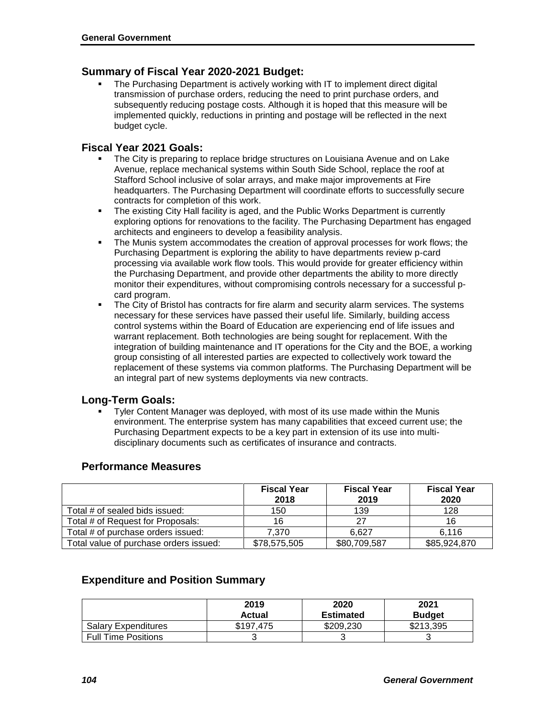#### **Summary of Fiscal Year 2020-2021 Budget:**

 The Purchasing Department is actively working with IT to implement direct digital transmission of purchase orders, reducing the need to print purchase orders, and subsequently reducing postage costs. Although it is hoped that this measure will be implemented quickly, reductions in printing and postage will be reflected in the next budget cycle.

#### **Fiscal Year 2021 Goals:**

- The City is preparing to replace bridge structures on Louisiana Avenue and on Lake Avenue, replace mechanical systems within South Side School, replace the roof at Stafford School inclusive of solar arrays, and make major improvements at Fire headquarters. The Purchasing Department will coordinate efforts to successfully secure contracts for completion of this work.
- The existing City Hall facility is aged, and the Public Works Department is currently exploring options for renovations to the facility. The Purchasing Department has engaged architects and engineers to develop a feasibility analysis.
- The Munis system accommodates the creation of approval processes for work flows; the Purchasing Department is exploring the ability to have departments review p-card processing via available work flow tools. This would provide for greater efficiency within the Purchasing Department, and provide other departments the ability to more directly monitor their expenditures, without compromising controls necessary for a successful pcard program.
- The City of Bristol has contracts for fire alarm and security alarm services. The systems necessary for these services have passed their useful life. Similarly, building access control systems within the Board of Education are experiencing end of life issues and warrant replacement. Both technologies are being sought for replacement. With the integration of building maintenance and IT operations for the City and the BOE, a working group consisting of all interested parties are expected to collectively work toward the replacement of these systems via common platforms. The Purchasing Department will be an integral part of new systems deployments via new contracts.

## **Long-Term Goals:**

 Tyler Content Manager was deployed, with most of its use made within the Munis environment. The enterprise system has many capabilities that exceed current use; the Purchasing Department expects to be a key part in extension of its use into multidisciplinary documents such as certificates of insurance and contracts.

#### **Performance Measures**

|                                        | <b>Fiscal Year</b><br>2018 | <b>Fiscal Year</b><br>2019 | <b>Fiscal Year</b><br>2020 |
|----------------------------------------|----------------------------|----------------------------|----------------------------|
| Total # of sealed bids issued:         | 150                        | 139                        | 128                        |
| Total # of Request for Proposals:      | 16                         | 27                         | 16                         |
| Total # of purchase orders issued:     | 7.370                      | 6.627                      | 6.116                      |
| Total value of purchase orders issued: | \$78,575,505               | \$80,709,587               | \$85,924,870               |

## **Expenditure and Position Summary**

|                            | 2019                | 2020                          | 2021                       |
|----------------------------|---------------------|-------------------------------|----------------------------|
| <b>Salary Expenditures</b> | Actual<br>\$197.475 | <b>Estimated</b><br>\$209.230 | <b>Budget</b><br>\$213,395 |
| <b>Full Time Positions</b> |                     |                               | u                          |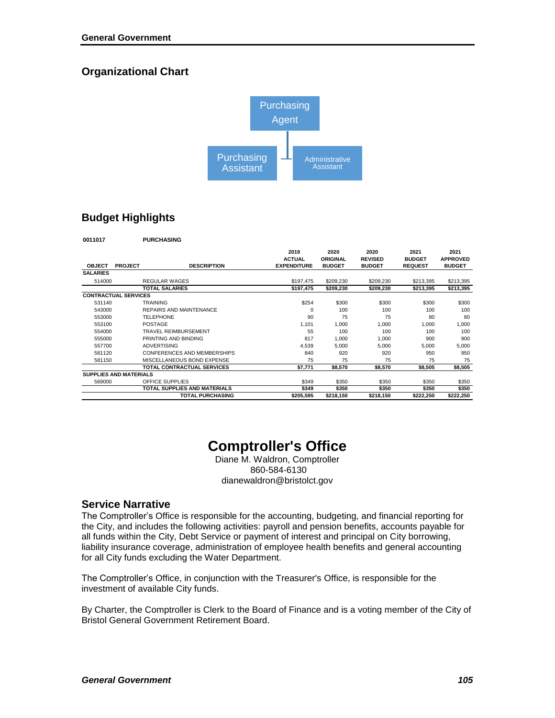## **Organizational Chart**



## **Budget Highlights**

**0011017 PURCHASING**

|                               |                |                                | 2019               | 2020            | 2020           | 2021           | 2021            |
|-------------------------------|----------------|--------------------------------|--------------------|-----------------|----------------|----------------|-----------------|
|                               |                |                                | <b>ACTUAL</b>      | <b>ORIGINAL</b> | <b>REVISED</b> | <b>BUDGET</b>  | <b>APPROVED</b> |
| <b>OBJECT</b>                 | <b>PROJECT</b> | <b>DESCRIPTION</b>             | <b>EXPENDITURE</b> | <b>BUDGET</b>   | <b>BUDGET</b>  | <b>REQUEST</b> | <b>BUDGET</b>   |
| <b>SALARIES</b>               |                |                                |                    |                 |                |                |                 |
| 514000                        |                | <b>REGULAR WAGES</b>           | \$197,475          | \$209,230       | \$209,230      | \$213,395      | \$213,395       |
|                               |                | <b>TOTAL SALARIES</b>          | \$197,475          | \$209,230       | \$209,230      | \$213,395      | \$213,395       |
| <b>CONTRACTUAL SERVICES</b>   |                |                                |                    |                 |                |                |                 |
| 531140                        |                | <b>TRAINING</b>                | \$254              | \$300           | \$300          | \$300          | \$300           |
| 543000                        |                | <b>REPAIRS AND MAINTENANCE</b> | 0                  | 100             | 100            | 100            | 100             |
| 553000                        |                | <b>TELEPHONE</b>               | 90                 | 75              | 75             | 80             | 80              |
| 553100                        |                | <b>POSTAGE</b>                 | 1,101              | 1,000           | 1,000          | 1,000          | 1,000           |
| 554000                        |                | <b>TRAVEL REIMBURSEMENT</b>    | 55                 | 100             | 100            | 100            | 100             |
| 555000                        |                | PRINTING AND BINDING           | 817                | 1,000           | 1,000          | 900            | 900             |
| 557700                        |                | <b>ADVERTISING</b>             | 4,539              | 5,000           | 5.000          | 5,000          | 5,000           |
| 581120                        |                | CONFERENCES AND MEMBERSHIPS    | 840                | 920             | 920            | 950            | 950             |
| 581150                        |                | MISCELLANEOUS BOND EXPENSE     | 75                 | 75              | 75             | 75             | 75              |
|                               |                | TOTAL CONTRACTUAL SERVICES     | \$7,771            | \$8,570         | \$8,570        | \$8,505        | \$8,505         |
| <b>SUPPLIES AND MATERIALS</b> |                |                                |                    |                 |                |                |                 |
| 569000                        |                | OFFICE SUPPLIES                | \$349              | \$350           | \$350          | \$350          | \$350           |
|                               |                | TOTAL SUPPLIES AND MATERIALS   | \$349              | \$350           | \$350          | \$350          | \$350           |
|                               |                | <b>TOTAL PURCHASING</b>        | \$205,595          | \$218,150       | \$218,150      | \$222,250      | \$222,250       |

# **Comptroller's Office**

Diane M. Waldron, Comptroller 860-584-6130 dianewaldron@bristolct.gov

#### **Service Narrative**

The Comptroller's Office is responsible for the accounting, budgeting, and financial reporting for the City, and includes the following activities: payroll and pension benefits, accounts payable for all funds within the City, Debt Service or payment of interest and principal on City borrowing, liability insurance coverage, administration of employee health benefits and general accounting for all City funds excluding the Water Department.

The Comptroller's Office, in conjunction with the Treasurer's Office, is responsible for the investment of available City funds.

By Charter, the Comptroller is Clerk to the Board of Finance and is a voting member of the City of Bristol General Government Retirement Board.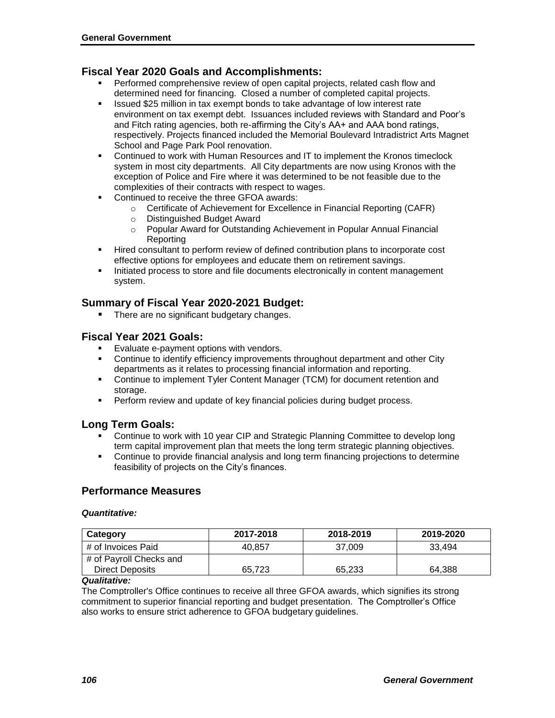#### **Fiscal Year 2020 Goals and Accomplishments:**

- **Performed comprehensive review of open capital projects, related cash flow and** determined need for financing. Closed a number of completed capital projects.
- **ISSUED \$25 million in tax exempt bonds to take advantage of low interest rate** environment on tax exempt debt. Issuances included reviews with Standard and Poor's and Fitch rating agencies, both re-affirming the City's AA+ and AAA bond ratings, respectively. Projects financed included the Memorial Boulevard Intradistrict Arts Magnet School and Page Park Pool renovation.
- Continued to work with Human Resources and IT to implement the Kronos timeclock system in most city departments. All City departments are now using Kronos with the exception of Police and Fire where it was determined to be not feasible due to the complexities of their contracts with respect to wages.
- Continued to receive the three GFOA awards:
	- o Certificate of Achievement for Excellence in Financial Reporting (CAFR)
	- o Distinguished Budget Award
	- o Popular Award for Outstanding Achievement in Popular Annual Financial Reporting
- Hired consultant to perform review of defined contribution plans to incorporate cost effective options for employees and educate them on retirement savings.
- Initiated process to store and file documents electronically in content management system.

#### **Summary of Fiscal Year 2020-2021 Budget:**

**There are no significant budgetary changes.** 

#### **Fiscal Year 2021 Goals:**

- **Evaluate e-payment options with vendors.**<br>Continue to identify efficiency improvement
- Continue to identify efficiency improvements throughout department and other City departments as it relates to processing financial information and reporting.
- Continue to implement Tyler Content Manager (TCM) for document retention and storage.
- **Perform review and update of key financial policies during budget process.**

#### **Long Term Goals:**

- Continue to work with 10 year CIP and Strategic Planning Committee to develop long term capital improvement plan that meets the long term strategic planning objectives.
- Continue to provide financial analysis and long term financing projections to determine feasibility of projects on the City's finances.

#### **Performance Measures**

#### *Quantitative:*

| Category                | 2017-2018 | 2018-2019 | 2019-2020 |
|-------------------------|-----------|-----------|-----------|
| # of Invoices Paid      | 40.857    | 37.009    | 33.494    |
| # of Payroll Checks and |           |           |           |
| Direct Deposits         | 65.723    | 65.233    | 64.388    |

#### *Qualitative:*

The Comptroller's Office continues to receive all three GFOA awards, which signifies its strong commitment to superior financial reporting and budget presentation.The Comptroller's Office also works to ensure strict adherence to GFOA budgetary guidelines.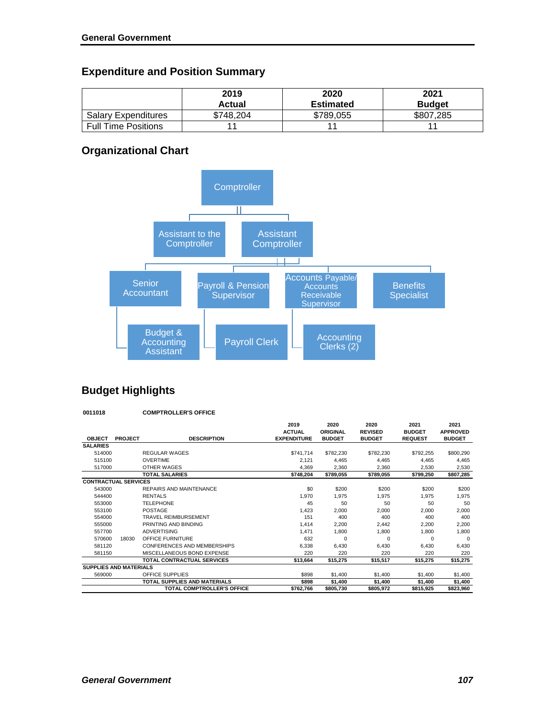## **Expenditure and Position Summary**

|                            | 2019<br>Actual | 2020<br><b>Estimated</b> | 2021<br><b>Budget</b> |
|----------------------------|----------------|--------------------------|-----------------------|
| <b>Salary Expenditures</b> | \$748.204      | \$789,055                | \$807,285             |
| <b>Full Time Positions</b> |                |                          |                       |

## **Organizational Chart**



## **Budget Highlights**

**0011018 COMPTROLLER'S OFFICE**

| <b>OBJECT</b>                 | <b>PROJECT</b> | <b>DESCRIPTION</b>                  | 2019<br><b>ACTUAL</b><br><b>EXPENDITURE</b> | 2020<br>ORIGINAL<br><b>BUDGET</b> | 2020<br><b>REVISED</b><br><b>BUDGET</b> | 2021<br><b>BUDGET</b><br><b>REQUEST</b> | 2021<br><b>APPROVED</b><br><b>BUDGET</b> |
|-------------------------------|----------------|-------------------------------------|---------------------------------------------|-----------------------------------|-----------------------------------------|-----------------------------------------|------------------------------------------|
| <b>SALARIES</b>               |                |                                     |                                             |                                   |                                         |                                         |                                          |
| 514000                        |                | <b>REGULAR WAGES</b>                | \$741,714                                   | \$782,230                         | \$782,230                               | \$792,255                               | \$800,290                                |
| 515100                        |                | <b>OVERTIME</b>                     | 2.121                                       | 4,465                             | 4.465                                   | 4.465                                   | 4.465                                    |
| 517000                        |                | OTHER WAGES                         | 4,369                                       | 2,360                             | 2,360                                   | 2.530                                   | 2,530                                    |
|                               |                | <b>TOTAL SALARIES</b>               | \$748,204                                   | \$789,055                         | \$789.055                               | \$799,250                               | \$807,285                                |
| <b>CONTRACTUAL SERVICES</b>   |                |                                     |                                             |                                   |                                         |                                         |                                          |
| 543000                        |                | REPAIRS AND MAINTENANCE             | \$0                                         | \$200                             | \$200                                   | \$200                                   | \$200                                    |
| 544400                        |                | <b>RENTALS</b>                      | 1,970                                       | 1,975                             | 1.975                                   | 1,975                                   | 1,975                                    |
| 553000                        |                | <b>TELEPHONE</b>                    | 45                                          | 50                                | 50                                      | 50                                      | 50                                       |
| 553100                        |                | POSTAGE                             | 1,423                                       | 2,000                             | 2,000                                   | 2,000                                   | 2,000                                    |
| 554000                        |                | <b>TRAVEL REIMBURSEMENT</b>         | 151                                         | 400                               | 400                                     | 400                                     | 400                                      |
| 555000                        |                | PRINTING AND BINDING                | 1,414                                       | 2,200                             | 2,442                                   | 2.200                                   | 2,200                                    |
| 557700                        |                | <b>ADVERTISING</b>                  | 1,471                                       | 1,800                             | 1.800                                   | 1,800                                   | 1,800                                    |
| 570600                        | 18030          | OFFICE FURNITURE                    | 632                                         | 0                                 | $\Omega$                                | O                                       | $\Omega$                                 |
| 581120                        |                | CONFERENCES AND MEMBERSHIPS         | 6.338                                       | 6.430                             | 6.430                                   | 6.430                                   | 6.430                                    |
| 581150                        |                | MISCELLANEOUS BOND EXPENSE          | 220                                         | 220                               | 220                                     | 220                                     | 220                                      |
|                               |                | <b>TOTAL CONTRACTUAL SERVICES</b>   | \$13,664                                    | \$15,275                          | \$15,517                                | \$15,275                                | \$15,275                                 |
| <b>SUPPLIES AND MATERIALS</b> |                |                                     |                                             |                                   |                                         |                                         |                                          |
| 569000                        |                | OFFICE SUPPLIES                     | \$898                                       | \$1,400                           | \$1,400                                 | \$1,400                                 | \$1,400                                  |
|                               |                | <b>TOTAL SUPPLIES AND MATERIALS</b> | \$898                                       | \$1,400                           | \$1,400                                 | \$1,400                                 | \$1,400                                  |
|                               |                | <b>TOTAL COMPTROLLER'S OFFICE</b>   | \$762,766                                   | \$805,730                         | \$805,972                               | \$815,925                               | \$823,960                                |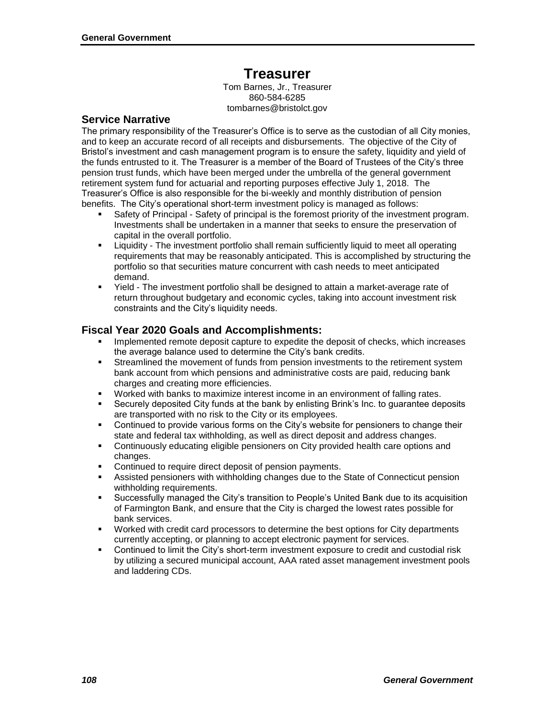## **Treasurer**

Tom Barnes, Jr., Treasurer 860-584-6285 tombarnes@bristolct.gov

#### **Service Narrative**

The primary responsibility of the Treasurer's Office is to serve as the custodian of all City monies, and to keep an accurate record of all receipts and disbursements. The objective of the City of Bristol's investment and cash management program is to ensure the safety, liquidity and yield of the funds entrusted to it. The Treasurer is a member of the Board of Trustees of the City's three pension trust funds, which have been merged under the umbrella of the general government retirement system fund for actuarial and reporting purposes effective July 1, 2018. The Treasurer's Office is also responsible for the bi-weekly and monthly distribution of pension benefits. The City's operational short-term investment policy is managed as follows:

- Safety of Principal Safety of principal is the foremost priority of the investment program. Investments shall be undertaken in a manner that seeks to ensure the preservation of capital in the overall portfolio.
- Liquidity The investment portfolio shall remain sufficiently liquid to meet all operating requirements that may be reasonably anticipated. This is accomplished by structuring the portfolio so that securities mature concurrent with cash needs to meet anticipated demand.
- Yield The investment portfolio shall be designed to attain a market-average rate of return throughout budgetary and economic cycles, taking into account investment risk constraints and the City's liquidity needs.

#### **Fiscal Year 2020 Goals and Accomplishments:**

- Implemented remote deposit capture to expedite the deposit of checks, which increases the average balance used to determine the City's bank credits.
- Streamlined the movement of funds from pension investments to the retirement system bank account from which pensions and administrative costs are paid, reducing bank charges and creating more efficiencies.
- Worked with banks to maximize interest income in an environment of falling rates.
- Securely deposited City funds at the bank by enlisting Brink's Inc. to guarantee deposits are transported with no risk to the City or its employees.
- Continued to provide various forms on the City's website for pensioners to change their state and federal tax withholding, as well as direct deposit and address changes.
- Continuously educating eligible pensioners on City provided health care options and changes.
- **Continued to require direct deposit of pension payments.**
- Assisted pensioners with withholding changes due to the State of Connecticut pension withholding requirements.
- Successfully managed the City's transition to People's United Bank due to its acquisition of Farmington Bank, and ensure that the City is charged the lowest rates possible for bank services.
- Worked with credit card processors to determine the best options for City departments currently accepting, or planning to accept electronic payment for services.
- Continued to limit the City's short-term investment exposure to credit and custodial risk by utilizing a secured municipal account, AAA rated asset management investment pools and laddering CDs.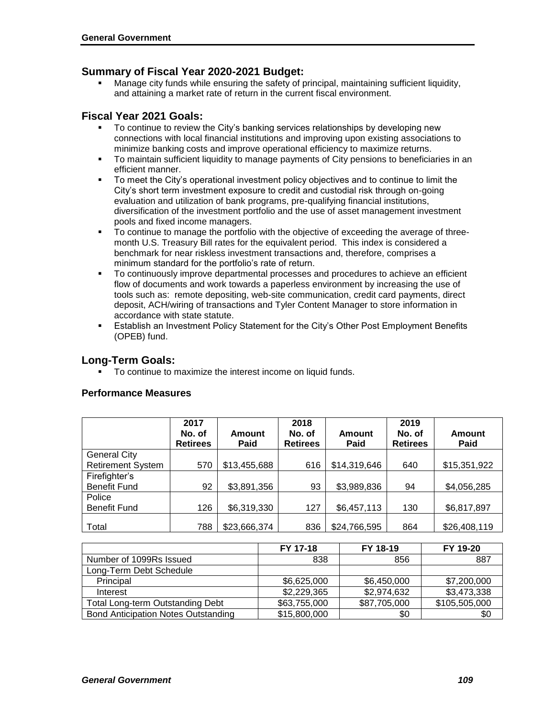#### **Summary of Fiscal Year 2020-2021 Budget:**

 Manage city funds while ensuring the safety of principal, maintaining sufficient liquidity, and attaining a market rate of return in the current fiscal environment.

#### **Fiscal Year 2021 Goals:**

- To continue to review the City's banking services relationships by developing new connections with local financial institutions and improving upon existing associations to minimize banking costs and improve operational efficiency to maximize returns.
- To maintain sufficient liquidity to manage payments of City pensions to beneficiaries in an efficient manner.
- To meet the City's operational investment policy objectives and to continue to limit the City's short term investment exposure to credit and custodial risk through on-going evaluation and utilization of bank programs, pre-qualifying financial institutions, diversification of the investment portfolio and the use of asset management investment pools and fixed income managers.
- To continue to manage the portfolio with the objective of exceeding the average of threemonth U.S. Treasury Bill rates for the equivalent period. This index is considered a benchmark for near riskless investment transactions and, therefore, comprises a minimum standard for the portfolio's rate of return.
- To continuously improve departmental processes and procedures to achieve an efficient flow of documents and work towards a paperless environment by increasing the use of tools such as: remote depositing, web-site communication, credit card payments, direct deposit, ACH/wiring of transactions and Tyler Content Manager to store information in accordance with state statute.
- Establish an Investment Policy Statement for the City's Other Post Employment Benefits (OPEB) fund.

#### **Long-Term Goals:**

To continue to maximize the interest income on liquid funds.

|                          | 2017<br>No. of<br><b>Retirees</b> | Amount<br><b>Paid</b> | 2018<br>No. of<br><b>Retirees</b> | Amount<br><b>Paid</b> | 2019<br>No. of<br><b>Retirees</b> | Amount<br>Paid  |
|--------------------------|-----------------------------------|-----------------------|-----------------------------------|-----------------------|-----------------------------------|-----------------|
| <b>General City</b>      |                                   |                       |                                   |                       |                                   |                 |
| <b>Retirement System</b> | 570                               | \$13,455,688          | 616                               | \$14,319,646          | 640                               | \$15,351,922    |
| Firefighter's            |                                   |                       |                                   |                       |                                   |                 |
| <b>Benefit Fund</b>      | 92                                | \$3,891,356           | 93                                | \$3,989,836           | 94                                | \$4,056,285     |
| Police                   |                                   |                       |                                   |                       |                                   |                 |
| Benefit Fund             | 126                               | \$6,319,330           | 127                               | \$6,457,113           | 130                               | \$6,817,897     |
| Total                    | 788                               | \$23,666,374          | 836                               | \$24,766,595          | 864                               | \$26,408,119    |
|                          |                                   |                       | <b>EV 17.18</b>                   | <b>EV 18-10</b>       |                                   | <b>EV 10.20</b> |

#### **Performance Measures**

|                                            | FY 17-18     | FY 18-19     | FY 19-20      |
|--------------------------------------------|--------------|--------------|---------------|
| Number of 1099Rs Issued                    | 838          | 856          | 887           |
| Long-Term Debt Schedule                    |              |              |               |
| Principal                                  | \$6,625,000  | \$6,450,000  | \$7,200,000   |
| Interest                                   | \$2,229,365  | \$2,974,632  | \$3,473,338   |
| <b>Total Long-term Outstanding Debt</b>    | \$63,755,000 | \$87,705,000 | \$105,505,000 |
| <b>Bond Anticipation Notes Outstanding</b> | \$15,800,000 | \$0          | \$0           |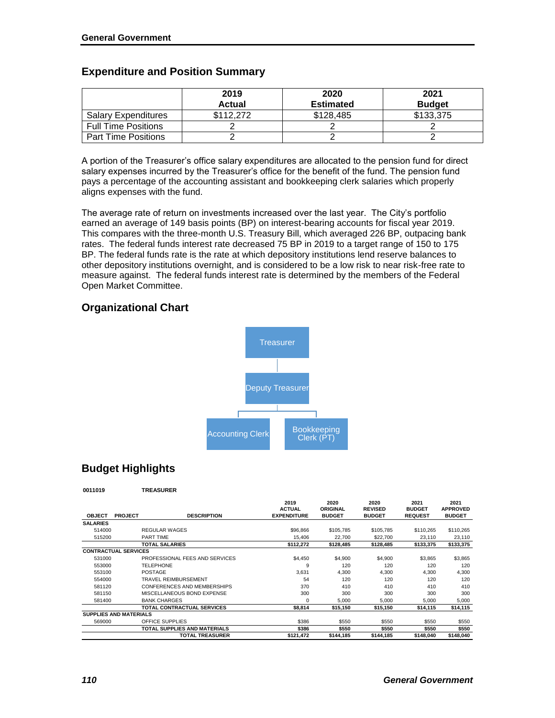|                            | 2019      | 2020             | 2021          |
|----------------------------|-----------|------------------|---------------|
|                            | Actual    | <b>Estimated</b> | <b>Budget</b> |
| <b>Salary Expenditures</b> | \$112.272 | \$128,485        | \$133,375     |
| <b>Full Time Positions</b> |           |                  |               |
| <b>Part Time Positions</b> |           |                  |               |

### **Expenditure and Position Summary**

A portion of the Treasurer's office salary expenditures are allocated to the pension fund for direct salary expenses incurred by the Treasurer's office for the benefit of the fund. The pension fund pays a percentage of the accounting assistant and bookkeeping clerk salaries which properly aligns expenses with the fund.

The average rate of return on investments increased over the last year. The City's portfolio earned an average of 149 basis points (BP) on interest-bearing accounts for fiscal year 2019. This compares with the three-month U.S. Treasury Bill, which averaged 226 BP, outpacing bank rates. The federal funds interest rate decreased 75 BP in 2019 to a target range of 150 to 175 BP. The federal funds rate is the rate at which depository institutions lend reserve balances to other depository institutions overnight, and is considered to be a low risk to near risk-free rate to measure against. The federal funds interest rate is determined by the members of the Federal Open Market Committee.

## **Organizational Chart**



## **Budget Highlights**

|                 |                               |                                | 2019               | 2020          | 2020           | 2021           | 2021            |
|-----------------|-------------------------------|--------------------------------|--------------------|---------------|----------------|----------------|-----------------|
|                 |                               |                                | <b>ACTUAL</b>      | ORIGINAL      | <b>REVISED</b> | <b>BUDGET</b>  | <b>APPROVED</b> |
| <b>OBJECT</b>   | <b>PROJECT</b>                | <b>DESCRIPTION</b>             | <b>EXPENDITURE</b> | <b>BUDGET</b> | <b>BUDGET</b>  | <b>REQUEST</b> | <b>BUDGET</b>   |
| <b>SALARIES</b> |                               |                                |                    |               |                |                |                 |
| 514000          |                               | REGULAR WAGES                  | \$96,866           | \$105.785     | \$105,785      | \$110.265      | \$110,265       |
| 515200          |                               | PART TIME                      | 15.406             | 22.700        | \$22,700       | 23.110         | 23,110          |
|                 |                               | <b>TOTAL SALARIES</b>          | \$112,272          | \$128,485     | \$128,485      | \$133,375      | \$133,375       |
|                 | <b>CONTRACTUAL SERVICES</b>   |                                |                    |               |                |                |                 |
| 531000          |                               | PROFESSIONAL FEES AND SERVICES | \$4,450            | \$4,900       | \$4,900        | \$3,865        | \$3,865         |
| 553000          |                               | <b>TELEPHONE</b>               | 9                  | 120           | 120            | 120            | 120             |
| 553100          |                               | <b>POSTAGE</b>                 | 3,631              | 4,300         | 4,300          | 4,300          | 4,300           |
| 554000          |                               | <b>TRAVEL REIMBURSEMENT</b>    | 54                 | 120           | 120            | 120            | 120             |
| 581120          |                               | CONFERENCES AND MEMBERSHIPS    | 370                | 410           | 410            | 410            | 410             |
| 581150          |                               | MISCELLANEOUS BOND EXPENSE     | 300                | 300           | 300            | 300            | 300             |
| 581400          |                               | <b>BANK CHARGES</b>            | $\Omega$           | 5,000         | 5,000          | 5,000          | 5,000           |
|                 |                               | TOTAL CONTRACTUAL SERVICES     | \$8,814            | \$15,150      | \$15,150       | \$14,115       | \$14,115        |
|                 | <b>SUPPLIES AND MATERIALS</b> |                                |                    |               |                |                |                 |
| 569000          |                               | OFFICE SUPPLIES                | \$386              | \$550         | \$550          | \$550          | \$550           |
|                 |                               | TOTAL SUPPLIES AND MATERIALS   | \$386              | \$550         | \$550          | \$550          | \$550           |
|                 |                               | <b>TOTAL TREASURER</b>         | \$121,472          | \$144,185     | \$144,185      | \$148.040      | \$148.040       |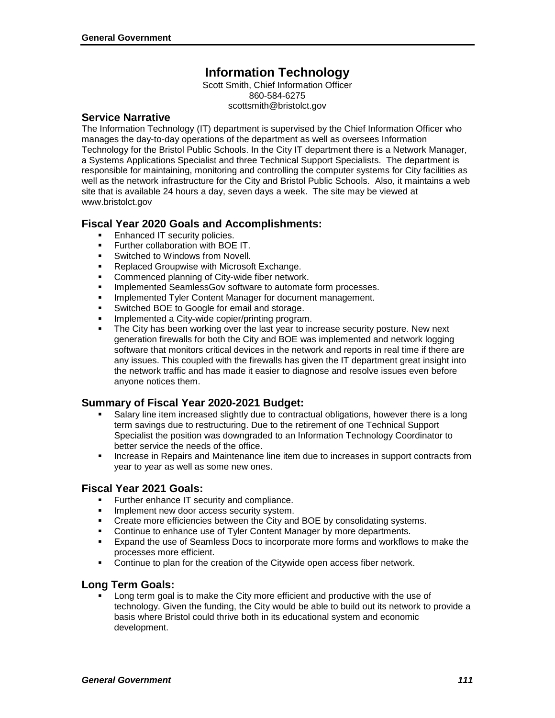## **Information Technology**

Scott Smith, Chief Information Officer 860-584-6275 scottsmith@bristolct.gov

#### **Service Narrative**

The Information Technology (IT) department is supervised by the Chief Information Officer who manages the day-to-day operations of the department as well as oversees Information Technology for the Bristol Public Schools. In the City IT department there is a Network Manager, a Systems Applications Specialist and three Technical Support Specialists. The department is responsible for maintaining, monitoring and controlling the computer systems for City facilities as well as the network infrastructure for the City and Bristol Public Schools. Also, it maintains a web site that is available 24 hours a day, seven days a week. The site may be viewed at www.bristolct.gov

#### **Fiscal Year 2020 Goals and Accomplishments:**

- Enhanced IT security policies.
- Further collaboration with BOE IT.
- **Switched to Windows from Novell.**
- **Replaced Groupwise with Microsoft Exchange.**
- **Commenced planning of City-wide fiber network.**
- **Implemented SeamlessGov software to automate form processes.**
- **IMPLEMENTED THANGE THE CONTEX IN ADAGER FOR ADAPTATION** Implement.
- **Switched BOE to Google for email and storage.**
- Implemented a City-wide copier/printing program.
- The City has been working over the last year to increase security posture. New next generation firewalls for both the City and BOE was implemented and network logging software that monitors critical devices in the network and reports in real time if there are any issues. This coupled with the firewalls has given the IT department great insight into the network traffic and has made it easier to diagnose and resolve issues even before anyone notices them.

#### **Summary of Fiscal Year 2020-2021 Budget:**

- Salary line item increased slightly due to contractual obligations, however there is a long term savings due to restructuring. Due to the retirement of one Technical Support Specialist the position was downgraded to an Information Technology Coordinator to better service the needs of the office.
- **Increase in Repairs and Maintenance line item due to increases in support contracts from** year to year as well as some new ones.

#### **Fiscal Year 2021 Goals:**

- **Further enhance IT security and compliance.**
- Implement new door access security system.
- Create more efficiencies between the City and BOE by consolidating systems.<br>■ Continue to enhance use of Tyler Content Manager by more departments
- Continue to enhance use of Tyler Content Manager by more departments.
- Expand the use of Seamless Docs to incorporate more forms and workflows to make the processes more efficient.
- Continue to plan for the creation of the Citywide open access fiber network.

#### **Long Term Goals:**

 Long term goal is to make the City more efficient and productive with the use of technology. Given the funding, the City would be able to build out its network to provide a basis where Bristol could thrive both in its educational system and economic development.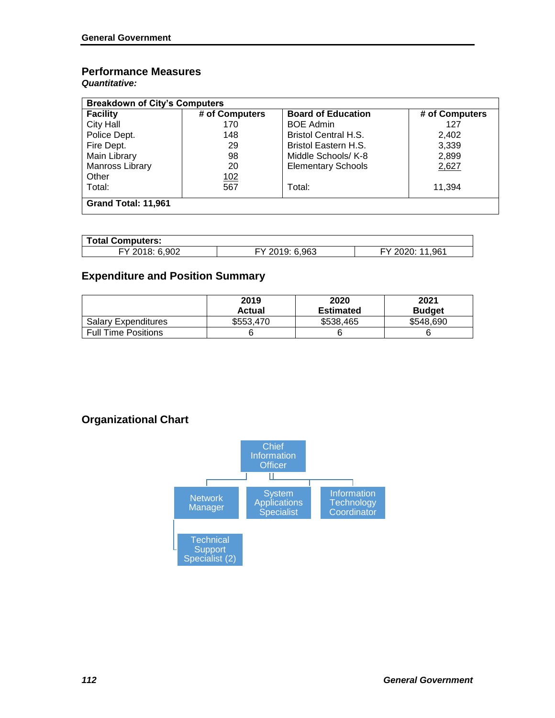## **Performance Measures**

*Quantitative:*

| <b>Breakdown of City's Computers</b> |                |                             |                |  |  |  |
|--------------------------------------|----------------|-----------------------------|----------------|--|--|--|
| <b>Facility</b>                      | # of Computers | <b>Board of Education</b>   | # of Computers |  |  |  |
| <b>City Hall</b>                     | 170            | <b>BOE Admin</b>            | 127            |  |  |  |
| Police Dept.                         | 148            | <b>Bristol Central H.S.</b> | 2.402          |  |  |  |
| Fire Dept.                           | 29             | Bristol Eastern H.S.        | 3,339          |  |  |  |
| Main Library                         | 98             | Middle Schools/ K-8         | 2,899          |  |  |  |
| Manross Library                      | 20             | <b>Elementary Schools</b>   | 2,627          |  |  |  |
| Other                                | <u>102</u>     |                             |                |  |  |  |
| Total:                               | 567            | Total:                      | 11,394         |  |  |  |
| Grand Total: 11,961                  |                |                             |                |  |  |  |

| <b>Total Computers:</b> |                |                 |  |  |  |  |
|-------------------------|----------------|-----------------|--|--|--|--|
| FY 2018: 6,902          | FY 2019: 6,963 | FY 2020: 11,961 |  |  |  |  |

## **Expenditure and Position Summary**

|                            | 2019<br>Actual | 2020<br><b>Estimated</b> | 2021<br><b>Budget</b> |
|----------------------------|----------------|--------------------------|-----------------------|
| <b>Salary Expenditures</b> | \$553,470      | \$538.465                | \$548,690             |
| <b>Full Time Positions</b> |                |                          |                       |

## **Organizational Chart**

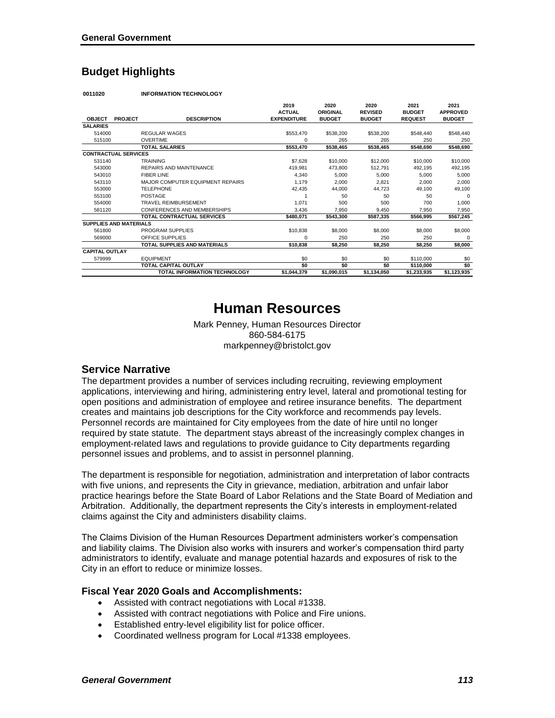## **Budget Highlights**

| 0011020 | <b>INFORMATION TECHNOLOGY</b> |
|---------|-------------------------------|
|         |                               |

|                       |                               |                                     | 2019<br><b>ACTUAL</b> | 2020<br>ORIGINAL | 2020<br><b>REVISED</b> | 2021<br><b>BUDGET</b> | 2021<br><b>APPROVED</b> |
|-----------------------|-------------------------------|-------------------------------------|-----------------------|------------------|------------------------|-----------------------|-------------------------|
| <b>OBJECT</b>         | <b>PROJECT</b>                | <b>DESCRIPTION</b>                  | <b>EXPENDITURE</b>    | <b>BUDGET</b>    | <b>BUDGET</b>          | <b>REQUEST</b>        | <b>BUDGET</b>           |
| <b>SALARIES</b>       |                               |                                     |                       |                  |                        |                       |                         |
| 514000                |                               | <b>REGULAR WAGES</b>                | \$553,470             | \$538,200        | \$538,200              | \$548,440             | \$548,440               |
| 515100                |                               | <b>OVERTIME</b>                     | $\Omega$              | 265              | 265                    | 250                   | 250                     |
|                       |                               | <b>TOTAL SALARIES</b>               | \$553,470             | \$538,465        | \$538,465              | \$548.690             | \$548,690               |
|                       | <b>CONTRACTUAL SERVICES</b>   |                                     |                       |                  |                        |                       |                         |
| 531140                |                               | <b>TRAINING</b>                     | \$7,628               | \$10,000         | \$12,000               | \$10,000              | \$10,000                |
| 543000                |                               | <b>REPAIRS AND MAINTENANCE</b>      | 419,981               | 473.800          | 512.791                | 492,195               | 492,195                 |
| 543010                |                               | <b>FIBER LINE</b>                   | 4.340                 | 5,000            | 5,000                  | 5.000                 | 5,000                   |
| 543110                |                               | MAJOR COMPUTER EQUIPMENT REPAIRS    | 1.179                 | 2,000            | 2,821                  | 2.000                 | 2,000                   |
| 553000                |                               | <b>TELEPHONE</b>                    | 42,435                | 44,000           | 44,723                 | 49,100                | 49,100                  |
| 553100                |                               | POSTAGE                             |                       | 50               | 50                     | 50                    | $\Omega$                |
| 554000                |                               | <b>TRAVEL REIMBURSEMENT</b>         | 1.071                 | 500              | 500                    | 700                   | 1.000                   |
| 581120                |                               | CONFERENCES AND MEMBERSHIPS         | 3.436                 | 7.950            | 9.450                  | 7.950                 | 7,950                   |
|                       |                               | <b>TOTAL CONTRACTUAL SERVICES</b>   | \$480.071             | \$543,300        | \$587,335              | \$566.995             | \$567,245               |
|                       | <b>SUPPLIES AND MATERIALS</b> |                                     |                       |                  |                        |                       |                         |
| 561800                |                               | PROGRAM SUPPLIES                    | \$10,838              | \$8,000          | \$8,000                | \$8,000               | \$8,000                 |
| 569000                |                               | OFFICE SUPPLIES                     | $\Omega$              | 250              | 250                    | 250                   | $\Omega$                |
|                       |                               | <b>TOTAL SUPPLIES AND MATERIALS</b> | \$10.838              | \$8,250          | \$8,250                | \$8.250               | \$8,000                 |
| <b>CAPITAL OUTLAY</b> |                               |                                     |                       |                  |                        |                       |                         |
| 579999                |                               | <b>EQUIPMENT</b>                    | \$0                   | \$0              | \$0                    | \$110,000             | \$0                     |
|                       |                               | <b>TOTAL CAPITAL OUTLAY</b>         | \$0                   | \$0              | \$0                    | \$110,000             | \$0                     |
|                       |                               | TOTAL INFORMATION TECHNOLOGY        | \$1,044,379           | \$1,090,015      | \$1,134,050            | \$1,233,935           | \$1,123,935             |

## **Human Resources**

Mark Penney, Human Resources Director 860-584-6175 markpenney@bristolct.gov

#### **Service Narrative**

The department provides a number of services including recruiting, reviewing employment applications, interviewing and hiring, administering entry level, lateral and promotional testing for open positions and administration of employee and retiree insurance benefits. The department creates and maintains job descriptions for the City workforce and recommends pay levels. Personnel records are maintained for City employees from the date of hire until no longer required by state statute. The department stays abreast of the increasingly complex changes in employment-related laws and regulations to provide guidance to City departments regarding personnel issues and problems, and to assist in personnel planning.

The department is responsible for negotiation, administration and interpretation of labor contracts with five unions, and represents the City in grievance, mediation, arbitration and unfair labor practice hearings before the State Board of Labor Relations and the State Board of Mediation and Arbitration. Additionally, the department represents the City's interests in employment-related claims against the City and administers disability claims.

The Claims Division of the Human Resources Department administers worker's compensation and liability claims. The Division also works with insurers and worker's compensation third party administrators to identify, evaluate and manage potential hazards and exposures of risk to the City in an effort to reduce or minimize losses.

#### **Fiscal Year 2020 Goals and Accomplishments:**

- Assisted with contract negotiations with Local #1338.
- Assisted with contract negotiations with Police and Fire unions.
- Established entry-level eligibility list for police officer.
- Coordinated wellness program for Local #1338 employees.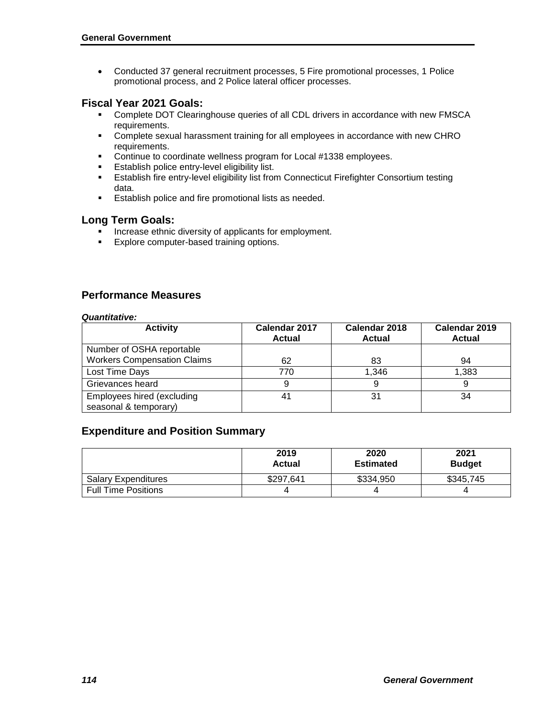Conducted 37 general recruitment processes, 5 Fire promotional processes, 1 Police promotional process, and 2 Police lateral officer processes.

#### **Fiscal Year 2021 Goals:**

- Complete DOT Clearinghouse queries of all CDL drivers in accordance with new FMSCA requirements.
- Complete sexual harassment training for all employees in accordance with new CHRO requirements.
- **Continue to coordinate wellness program for Local #1338 employees.**
- **Establish police entry-level eligibility list.**
- **Establish fire entry-level eligibility list from Connecticut Firefighter Consortium testing** data.
- **Establish police and fire promotional lists as needed.**

#### **Long Term Goals:**

- Increase ethnic diversity of applicants for employment.
- **Explore computer-based training options.**

### **Performance Measures**

#### *Quantitative:*

| <b>Activity</b>                    | Calendar 2017<br><b>Actual</b> | Calendar 2018<br><b>Actual</b> | Calendar 2019<br><b>Actual</b> |  |
|------------------------------------|--------------------------------|--------------------------------|--------------------------------|--|
| Number of OSHA reportable          |                                |                                |                                |  |
| <b>Workers Compensation Claims</b> | 62                             | 83                             | 94                             |  |
| Lost Time Days                     | 770                            | 1.346                          | 1,383                          |  |
| Grievances heard                   | 9                              |                                |                                |  |
| Employees hired (excluding         | 41                             | 31                             | 34                             |  |
| seasonal & temporary)              |                                |                                |                                |  |

#### **Expenditure and Position Summary**

|                            | 2019<br><b>Actual</b> | 2020<br><b>Estimated</b> | 2021<br><b>Budget</b> |
|----------------------------|-----------------------|--------------------------|-----------------------|
| <b>Salary Expenditures</b> | \$297,641             | \$334,950                | \$345,745             |
| <b>Full Time Positions</b> |                       |                          |                       |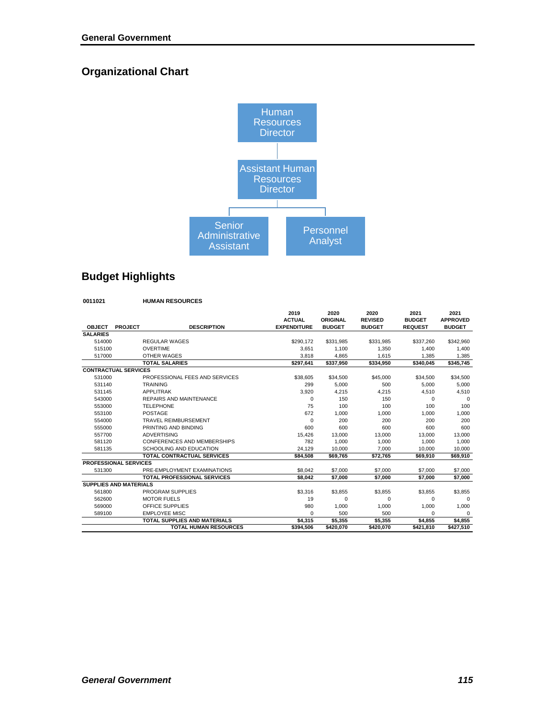# **Organizational Chart**



# **Budget Highlights**

#### **0011021 HUMAN RESOURCES**

| <b>DESCRIPTION</b><br><b>EXPENDITURE</b><br><b>OBJECT</b><br><b>PROJECT</b><br><b>BUDGET</b><br><b>BUDGET</b><br><b>REQUEST</b><br><b>BUDGET</b><br><b>SALARIES</b><br>514000<br><b>REGULAR WAGES</b><br>\$290.172<br>\$331.985<br>\$331.985<br>\$337.260<br>515100<br><b>OVERTIME</b><br>3.651<br>1.100<br>1.350<br>1.400<br>OTHER WAGES<br>1.615<br>1,385<br>517000<br>3,818<br>4,865<br><b>TOTAL SALARIES</b><br>\$297.641<br>\$337.950<br>\$334.950<br>\$340.045<br><b>CONTRACTUAL SERVICES</b><br>531000<br>PROFESSIONAL FEES AND SERVICES<br>\$38,605<br>\$45,000<br>\$34,500<br>\$34.500<br>531140<br><b>TRAINING</b><br>299<br>5,000<br>500<br>5,000<br>531145<br><b>APPLITRAK</b><br>4.215<br>3,920<br>4,215<br>4,510<br>543000<br><b>REPAIRS AND MAINTENANCE</b><br>150<br>150<br>$\Omega$<br>$\Omega$<br>553000<br>75<br>100<br>100<br><b>TELEPHONE</b><br>100<br>POSTAGE<br>553100<br>672<br>1.000<br>1.000<br>1.000<br>554000<br><b>TRAVEL REIMBURSEMENT</b><br>0<br>200<br>200<br>200<br>555000<br>PRINTING AND BINDING<br>600<br>600<br>600<br>600<br><b>ADVERTISING</b><br>557700<br>15,426<br>13,000<br>13,000<br>13,000<br>581120<br>CONFERENCES AND MEMBERSHIPS<br>782<br>1,000<br>1.000<br>1,000<br>SCHOOLING AND EDUCATION<br>581135<br>24.129<br>10.000<br>7.000<br>10.000<br><b>TOTAL CONTRACTUAL SERVICES</b><br>\$84.508<br>\$69.765<br>\$72.765<br>\$69.910<br><b>PROFESSIONAL SERVICES</b><br>PRE-EMPLOYMENT EXAMINATIONS<br>531300<br>\$8,042<br>\$7,000<br>\$7,000<br>\$7,000<br><b>TOTAL PROFESSIONAL SERVICES</b><br>\$7,000<br>\$8.042<br>\$7,000<br>\$7,000<br><b>SUPPLIES AND MATERIALS</b><br>561800<br>PROGRAM SUPPLIES<br>\$3,316<br>\$3.855<br>\$3.855<br>\$3,855<br><b>MOTOR FUELS</b><br>562600<br>19<br>$\Omega$<br>$\Omega$<br>0<br>OFFICE SUPPLIES<br>569000<br>980<br>1,000<br>1,000<br>1,000<br><b>EMPLOYEE MISC</b><br>589100<br>500<br>500<br>$\Omega$<br>$\Omega$<br><b>TOTAL SUPPLIES AND MATERIALS</b><br>\$5,355<br>\$5,355<br>\$4,315<br>\$4,855<br><b>TOTAL HUMAN RESOURCES</b><br>\$394,506<br>\$420,070<br>\$421,810<br>\$420,070 |  | 2019<br><b>ACTUAL</b> | 2020<br><b>ORIGINAL</b> | 2020<br><b>REVISED</b> | 2021<br><b>BUDGET</b> | 2021<br><b>APPROVED</b> |
|------------------------------------------------------------------------------------------------------------------------------------------------------------------------------------------------------------------------------------------------------------------------------------------------------------------------------------------------------------------------------------------------------------------------------------------------------------------------------------------------------------------------------------------------------------------------------------------------------------------------------------------------------------------------------------------------------------------------------------------------------------------------------------------------------------------------------------------------------------------------------------------------------------------------------------------------------------------------------------------------------------------------------------------------------------------------------------------------------------------------------------------------------------------------------------------------------------------------------------------------------------------------------------------------------------------------------------------------------------------------------------------------------------------------------------------------------------------------------------------------------------------------------------------------------------------------------------------------------------------------------------------------------------------------------------------------------------------------------------------------------------------------------------------------------------------------------------------------------------------------------------------------------------------------------------------------------------------------------------------------------------------------------------------------------------------------------------------|--|-----------------------|-------------------------|------------------------|-----------------------|-------------------------|
|                                                                                                                                                                                                                                                                                                                                                                                                                                                                                                                                                                                                                                                                                                                                                                                                                                                                                                                                                                                                                                                                                                                                                                                                                                                                                                                                                                                                                                                                                                                                                                                                                                                                                                                                                                                                                                                                                                                                                                                                                                                                                          |  |                       |                         |                        |                       |                         |
|                                                                                                                                                                                                                                                                                                                                                                                                                                                                                                                                                                                                                                                                                                                                                                                                                                                                                                                                                                                                                                                                                                                                                                                                                                                                                                                                                                                                                                                                                                                                                                                                                                                                                                                                                                                                                                                                                                                                                                                                                                                                                          |  |                       |                         |                        |                       |                         |
|                                                                                                                                                                                                                                                                                                                                                                                                                                                                                                                                                                                                                                                                                                                                                                                                                                                                                                                                                                                                                                                                                                                                                                                                                                                                                                                                                                                                                                                                                                                                                                                                                                                                                                                                                                                                                                                                                                                                                                                                                                                                                          |  |                       |                         |                        |                       | \$342.960               |
|                                                                                                                                                                                                                                                                                                                                                                                                                                                                                                                                                                                                                                                                                                                                                                                                                                                                                                                                                                                                                                                                                                                                                                                                                                                                                                                                                                                                                                                                                                                                                                                                                                                                                                                                                                                                                                                                                                                                                                                                                                                                                          |  |                       |                         |                        |                       | 1.400                   |
|                                                                                                                                                                                                                                                                                                                                                                                                                                                                                                                                                                                                                                                                                                                                                                                                                                                                                                                                                                                                                                                                                                                                                                                                                                                                                                                                                                                                                                                                                                                                                                                                                                                                                                                                                                                                                                                                                                                                                                                                                                                                                          |  |                       |                         |                        |                       | 1.385                   |
|                                                                                                                                                                                                                                                                                                                                                                                                                                                                                                                                                                                                                                                                                                                                                                                                                                                                                                                                                                                                                                                                                                                                                                                                                                                                                                                                                                                                                                                                                                                                                                                                                                                                                                                                                                                                                                                                                                                                                                                                                                                                                          |  |                       |                         |                        |                       | \$345.745               |
|                                                                                                                                                                                                                                                                                                                                                                                                                                                                                                                                                                                                                                                                                                                                                                                                                                                                                                                                                                                                                                                                                                                                                                                                                                                                                                                                                                                                                                                                                                                                                                                                                                                                                                                                                                                                                                                                                                                                                                                                                                                                                          |  |                       |                         |                        |                       |                         |
|                                                                                                                                                                                                                                                                                                                                                                                                                                                                                                                                                                                                                                                                                                                                                                                                                                                                                                                                                                                                                                                                                                                                                                                                                                                                                                                                                                                                                                                                                                                                                                                                                                                                                                                                                                                                                                                                                                                                                                                                                                                                                          |  |                       |                         |                        |                       | \$34,500                |
|                                                                                                                                                                                                                                                                                                                                                                                                                                                                                                                                                                                                                                                                                                                                                                                                                                                                                                                                                                                                                                                                                                                                                                                                                                                                                                                                                                                                                                                                                                                                                                                                                                                                                                                                                                                                                                                                                                                                                                                                                                                                                          |  |                       |                         |                        |                       | 5,000                   |
|                                                                                                                                                                                                                                                                                                                                                                                                                                                                                                                                                                                                                                                                                                                                                                                                                                                                                                                                                                                                                                                                                                                                                                                                                                                                                                                                                                                                                                                                                                                                                                                                                                                                                                                                                                                                                                                                                                                                                                                                                                                                                          |  |                       |                         |                        |                       | 4,510                   |
|                                                                                                                                                                                                                                                                                                                                                                                                                                                                                                                                                                                                                                                                                                                                                                                                                                                                                                                                                                                                                                                                                                                                                                                                                                                                                                                                                                                                                                                                                                                                                                                                                                                                                                                                                                                                                                                                                                                                                                                                                                                                                          |  |                       |                         |                        |                       | $\Omega$                |
|                                                                                                                                                                                                                                                                                                                                                                                                                                                                                                                                                                                                                                                                                                                                                                                                                                                                                                                                                                                                                                                                                                                                                                                                                                                                                                                                                                                                                                                                                                                                                                                                                                                                                                                                                                                                                                                                                                                                                                                                                                                                                          |  |                       |                         |                        |                       | 100                     |
|                                                                                                                                                                                                                                                                                                                                                                                                                                                                                                                                                                                                                                                                                                                                                                                                                                                                                                                                                                                                                                                                                                                                                                                                                                                                                                                                                                                                                                                                                                                                                                                                                                                                                                                                                                                                                                                                                                                                                                                                                                                                                          |  |                       |                         |                        |                       | 1.000                   |
|                                                                                                                                                                                                                                                                                                                                                                                                                                                                                                                                                                                                                                                                                                                                                                                                                                                                                                                                                                                                                                                                                                                                                                                                                                                                                                                                                                                                                                                                                                                                                                                                                                                                                                                                                                                                                                                                                                                                                                                                                                                                                          |  |                       |                         |                        |                       | 200                     |
|                                                                                                                                                                                                                                                                                                                                                                                                                                                                                                                                                                                                                                                                                                                                                                                                                                                                                                                                                                                                                                                                                                                                                                                                                                                                                                                                                                                                                                                                                                                                                                                                                                                                                                                                                                                                                                                                                                                                                                                                                                                                                          |  |                       |                         |                        |                       | 600                     |
|                                                                                                                                                                                                                                                                                                                                                                                                                                                                                                                                                                                                                                                                                                                                                                                                                                                                                                                                                                                                                                                                                                                                                                                                                                                                                                                                                                                                                                                                                                                                                                                                                                                                                                                                                                                                                                                                                                                                                                                                                                                                                          |  |                       |                         |                        |                       | 13,000                  |
|                                                                                                                                                                                                                                                                                                                                                                                                                                                                                                                                                                                                                                                                                                                                                                                                                                                                                                                                                                                                                                                                                                                                                                                                                                                                                                                                                                                                                                                                                                                                                                                                                                                                                                                                                                                                                                                                                                                                                                                                                                                                                          |  |                       |                         |                        |                       | 1,000                   |
|                                                                                                                                                                                                                                                                                                                                                                                                                                                                                                                                                                                                                                                                                                                                                                                                                                                                                                                                                                                                                                                                                                                                                                                                                                                                                                                                                                                                                                                                                                                                                                                                                                                                                                                                                                                                                                                                                                                                                                                                                                                                                          |  |                       |                         |                        |                       | 10.000                  |
|                                                                                                                                                                                                                                                                                                                                                                                                                                                                                                                                                                                                                                                                                                                                                                                                                                                                                                                                                                                                                                                                                                                                                                                                                                                                                                                                                                                                                                                                                                                                                                                                                                                                                                                                                                                                                                                                                                                                                                                                                                                                                          |  |                       |                         |                        |                       | \$69.910                |
|                                                                                                                                                                                                                                                                                                                                                                                                                                                                                                                                                                                                                                                                                                                                                                                                                                                                                                                                                                                                                                                                                                                                                                                                                                                                                                                                                                                                                                                                                                                                                                                                                                                                                                                                                                                                                                                                                                                                                                                                                                                                                          |  |                       |                         |                        |                       |                         |
|                                                                                                                                                                                                                                                                                                                                                                                                                                                                                                                                                                                                                                                                                                                                                                                                                                                                                                                                                                                                                                                                                                                                                                                                                                                                                                                                                                                                                                                                                                                                                                                                                                                                                                                                                                                                                                                                                                                                                                                                                                                                                          |  |                       |                         |                        |                       | \$7,000                 |
|                                                                                                                                                                                                                                                                                                                                                                                                                                                                                                                                                                                                                                                                                                                                                                                                                                                                                                                                                                                                                                                                                                                                                                                                                                                                                                                                                                                                                                                                                                                                                                                                                                                                                                                                                                                                                                                                                                                                                                                                                                                                                          |  |                       |                         |                        |                       | \$7,000                 |
|                                                                                                                                                                                                                                                                                                                                                                                                                                                                                                                                                                                                                                                                                                                                                                                                                                                                                                                                                                                                                                                                                                                                                                                                                                                                                                                                                                                                                                                                                                                                                                                                                                                                                                                                                                                                                                                                                                                                                                                                                                                                                          |  |                       |                         |                        |                       |                         |
|                                                                                                                                                                                                                                                                                                                                                                                                                                                                                                                                                                                                                                                                                                                                                                                                                                                                                                                                                                                                                                                                                                                                                                                                                                                                                                                                                                                                                                                                                                                                                                                                                                                                                                                                                                                                                                                                                                                                                                                                                                                                                          |  |                       |                         |                        |                       | \$3,855                 |
|                                                                                                                                                                                                                                                                                                                                                                                                                                                                                                                                                                                                                                                                                                                                                                                                                                                                                                                                                                                                                                                                                                                                                                                                                                                                                                                                                                                                                                                                                                                                                                                                                                                                                                                                                                                                                                                                                                                                                                                                                                                                                          |  |                       |                         |                        |                       | $\mathbf 0$             |
|                                                                                                                                                                                                                                                                                                                                                                                                                                                                                                                                                                                                                                                                                                                                                                                                                                                                                                                                                                                                                                                                                                                                                                                                                                                                                                                                                                                                                                                                                                                                                                                                                                                                                                                                                                                                                                                                                                                                                                                                                                                                                          |  |                       |                         |                        |                       | 1,000                   |
|                                                                                                                                                                                                                                                                                                                                                                                                                                                                                                                                                                                                                                                                                                                                                                                                                                                                                                                                                                                                                                                                                                                                                                                                                                                                                                                                                                                                                                                                                                                                                                                                                                                                                                                                                                                                                                                                                                                                                                                                                                                                                          |  |                       |                         |                        |                       | $\Omega$                |
|                                                                                                                                                                                                                                                                                                                                                                                                                                                                                                                                                                                                                                                                                                                                                                                                                                                                                                                                                                                                                                                                                                                                                                                                                                                                                                                                                                                                                                                                                                                                                                                                                                                                                                                                                                                                                                                                                                                                                                                                                                                                                          |  |                       |                         |                        |                       | \$4,855                 |
|                                                                                                                                                                                                                                                                                                                                                                                                                                                                                                                                                                                                                                                                                                                                                                                                                                                                                                                                                                                                                                                                                                                                                                                                                                                                                                                                                                                                                                                                                                                                                                                                                                                                                                                                                                                                                                                                                                                                                                                                                                                                                          |  |                       |                         |                        |                       | \$427,510               |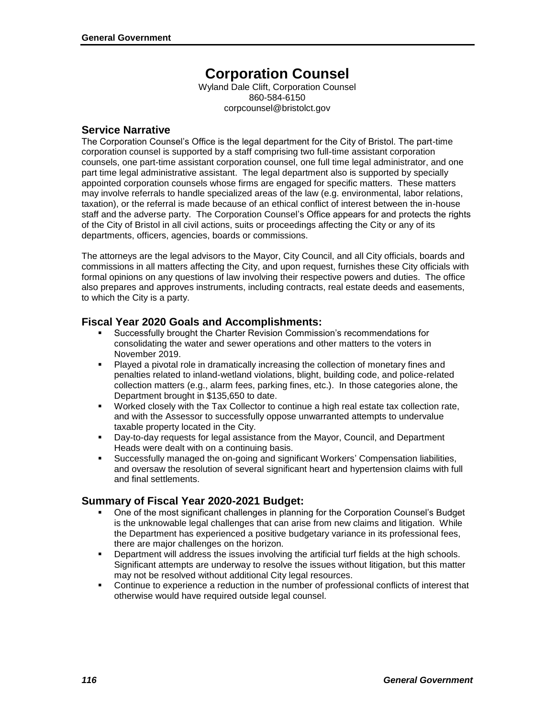# **Corporation Counsel**

Wyland Dale Clift, Corporation Counsel 860-584-6150 corpcounsel@bristolct.gov

#### **Service Narrative**

The Corporation Counsel's Office is the legal department for the City of Bristol. The part-time corporation counsel is supported by a staff comprising two full-time assistant corporation counsels, one part-time assistant corporation counsel, one full time legal administrator, and one part time legal administrative assistant. The legal department also is supported by specially appointed corporation counsels whose firms are engaged for specific matters. These matters may involve referrals to handle specialized areas of the law (e.g. environmental, labor relations, taxation), or the referral is made because of an ethical conflict of interest between the in-house staff and the adverse party. The Corporation Counsel's Office appears for and protects the rights of the City of Bristol in all civil actions, suits or proceedings affecting the City or any of its departments, officers, agencies, boards or commissions.

The attorneys are the legal advisors to the Mayor, City Council, and all City officials, boards and commissions in all matters affecting the City, and upon request, furnishes these City officials with formal opinions on any questions of law involving their respective powers and duties. The office also prepares and approves instruments, including contracts, real estate deeds and easements, to which the City is a party.

### **Fiscal Year 2020 Goals and Accomplishments:**

- Successfully brought the Charter Revision Commission's recommendations for consolidating the water and sewer operations and other matters to the voters in November 2019.
- Played a pivotal role in dramatically increasing the collection of monetary fines and penalties related to inland-wetland violations, blight, building code, and police-related collection matters (e.g., alarm fees, parking fines, etc.). In those categories alone, the Department brought in \$135,650 to date.
- Worked closely with the Tax Collector to continue a high real estate tax collection rate, and with the Assessor to successfully oppose unwarranted attempts to undervalue taxable property located in the City.
- Day-to-day requests for legal assistance from the Mayor, Council, and Department Heads were dealt with on a continuing basis.
- Successfully managed the on-going and significant Workers' Compensation liabilities, and oversaw the resolution of several significant heart and hypertension claims with full and final settlements.

## **Summary of Fiscal Year 2020-2021 Budget:**

- One of the most significant challenges in planning for the Corporation Counsel's Budget is the unknowable legal challenges that can arise from new claims and litigation. While the Department has experienced a positive budgetary variance in its professional fees, there are major challenges on the horizon.
- Department will address the issues involving the artificial turf fields at the high schools. Significant attempts are underway to resolve the issues without litigation, but this matter may not be resolved without additional City legal resources.
- Continue to experience a reduction in the number of professional conflicts of interest that otherwise would have required outside legal counsel.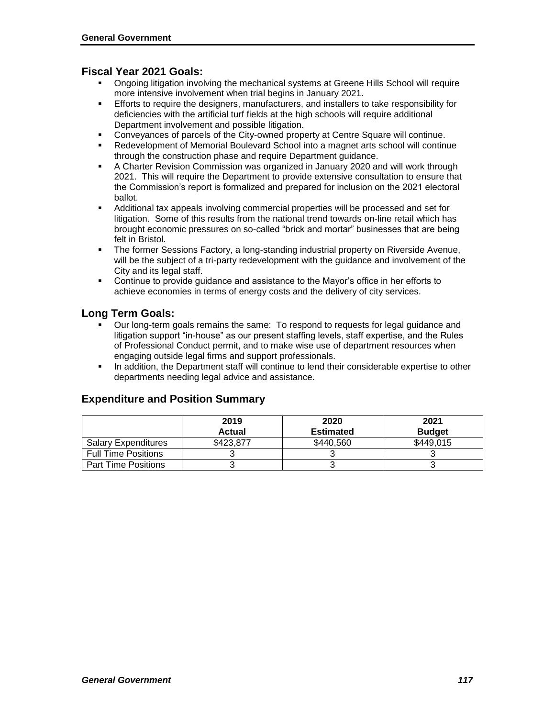#### **Fiscal Year 2021 Goals:**

- Ongoing litigation involving the mechanical systems at Greene Hills School will require more intensive involvement when trial begins in January 2021.
- Efforts to require the designers, manufacturers, and installers to take responsibility for deficiencies with the artificial turf fields at the high schools will require additional Department involvement and possible litigation.
- Conveyances of parcels of the City-owned property at Centre Square will continue.
- Redevelopment of Memorial Boulevard School into a magnet arts school will continue through the construction phase and require Department guidance.
- A Charter Revision Commission was organized in January 2020 and will work through 2021. This will require the Department to provide extensive consultation to ensure that the Commission's report is formalized and prepared for inclusion on the 2021 electoral ballot.
- Additional tax appeals involving commercial properties will be processed and set for litigation. Some of this results from the national trend towards on-line retail which has brought economic pressures on so-called "brick and mortar" businesses that are being felt in Bristol.
- **The former Sessions Factory, a long-standing industrial property on Riverside Avenue,** will be the subject of a tri-party redevelopment with the guidance and involvement of the City and its legal staff.
- Continue to provide guidance and assistance to the Mayor's office in her efforts to achieve economies in terms of energy costs and the delivery of city services.

#### **Long Term Goals:**

- Our long-term goals remains the same: To respond to requests for legal guidance and litigation support "in-house" as our present staffing levels, staff expertise, and the Rules of Professional Conduct permit, and to make wise use of department resources when engaging outside legal firms and support professionals.
- In addition, the Department staff will continue to lend their considerable expertise to other departments needing legal advice and assistance.

#### **Expenditure and Position Summary**

|                            | 2019          | 2020             | 2021          |
|----------------------------|---------------|------------------|---------------|
|                            | <b>Actual</b> | <b>Estimated</b> | <b>Budget</b> |
| <b>Salary Expenditures</b> | \$423.877     | \$440.560        | \$449.015     |
| <b>Full Time Positions</b> |               |                  |               |
| <b>Part Time Positions</b> |               |                  |               |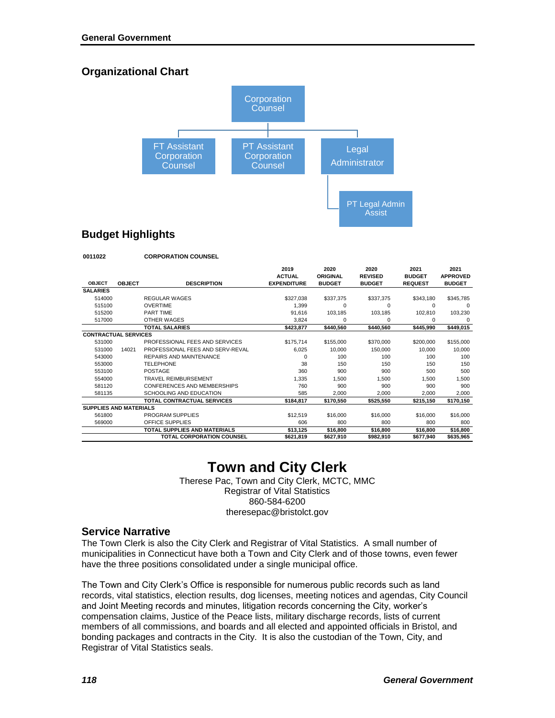## **Organizational Chart**



## **Budget Highlights**

| 0011022                       |               | <b>CORPORATION COUNSEL</b>          |                                             |                                          |                                         |                                         |                                          |
|-------------------------------|---------------|-------------------------------------|---------------------------------------------|------------------------------------------|-----------------------------------------|-----------------------------------------|------------------------------------------|
| <b>OBJECT</b>                 | <b>OBJECT</b> | <b>DESCRIPTION</b>                  | 2019<br><b>ACTUAL</b><br><b>EXPENDITURE</b> | 2020<br><b>ORIGINAL</b><br><b>BUDGET</b> | 2020<br><b>REVISED</b><br><b>BUDGET</b> | 2021<br><b>BUDGET</b><br><b>REQUEST</b> | 2021<br><b>APPROVED</b><br><b>BUDGET</b> |
| <b>SALARIES</b>               |               |                                     |                                             |                                          |                                         |                                         |                                          |
| 514000                        |               | <b>REGULAR WAGES</b>                | \$327.038                                   | \$337,375                                | \$337,375                               | \$343,180                               | \$345.785                                |
| 515100                        |               | <b>OVERTIME</b>                     | 1,399                                       | 0                                        | $\Omega$                                | $\Omega$                                | $\Omega$                                 |
| 515200                        |               | PART TIME                           | 91,616                                      | 103,185                                  | 103,185                                 | 102,810                                 | 103,230                                  |
| 517000                        |               | OTHER WAGES                         | 3,824                                       | 0                                        | $\Omega$                                | 0                                       | 0                                        |
|                               |               | <b>TOTAL SALARIES</b>               | \$423,877                                   | \$440,560                                | \$440,560                               | \$445.990                               | \$449,015                                |
| <b>CONTRACTUAL SERVICES</b>   |               |                                     |                                             |                                          |                                         |                                         |                                          |
| 531000                        |               | PROFESSIONAL FEES AND SERVICES      | \$175,714                                   | \$155,000                                | \$370,000                               | \$200,000                               | \$155,000                                |
| 531000                        | 14021         | PROFESSIONAL FEES AND SERV-REVAL    | 6,025                                       | 10,000                                   | 150,000                                 | 10,000                                  | 10,000                                   |
| 543000                        |               | <b>REPAIRS AND MAINTENANCE</b>      | $\Omega$                                    | 100                                      | 100                                     | 100                                     | 100                                      |
| 553000                        |               | <b>TELEPHONE</b>                    | 38                                          | 150                                      | 150                                     | 150                                     | 150                                      |
| 553100                        |               | POSTAGE                             | 360                                         | 900                                      | 900                                     | 500                                     | 500                                      |
| 554000                        |               | TRAVEL REIMBURSEMENT                | 1,335                                       | 1,500                                    | 1.500                                   | 1,500                                   | 1,500                                    |
| 581120                        |               | CONFERENCES AND MEMBERSHIPS         | 760                                         | 900                                      | 900                                     | 900                                     | 900                                      |
| 581135                        |               | SCHOOLING AND EDUCATION             | 585                                         | 2.000                                    | 2.000                                   | 2.000                                   | 2,000                                    |
|                               |               | TOTAL CONTRACTUAL SERVICES          | \$184.817                                   | \$170.550                                | \$525,550                               | \$215,150                               | \$170,150                                |
| <b>SUPPLIES AND MATERIALS</b> |               |                                     |                                             |                                          |                                         |                                         |                                          |
| 561800                        |               | PROGRAM SUPPLIES                    | \$12,519                                    | \$16,000                                 | \$16,000                                | \$16,000                                | \$16,000                                 |
| 569000                        |               | OFFICE SUPPLIES                     | 606                                         | 800                                      | 800                                     | 800                                     | 800                                      |
|                               |               | <b>TOTAL SUPPLIES AND MATERIALS</b> | \$13,125                                    | \$16,800                                 | \$16,800                                | \$16,800                                | \$16,800                                 |
|                               |               | <b>TOTAL CORPORATION COUNSEL</b>    | \$621,819                                   | \$627,910                                | \$982,910                               | \$677,940                               | \$635,965                                |

# **Town and City Clerk**

Therese Pac, Town and City Clerk, MCTC, MMC Registrar of Vital Statistics 860-584-6200 theresepac@bristolct.gov

#### **Service Narrative**

The Town Clerk is also the City Clerk and Registrar of Vital Statistics. A small number of municipalities in Connecticut have both a Town and City Clerk and of those towns, even fewer have the three positions consolidated under a single municipal office.

The Town and City Clerk's Office is responsible for numerous public records such as land records, vital statistics, election results, dog licenses, meeting notices and agendas, City Council and Joint Meeting records and minutes, litigation records concerning the City, worker's compensation claims, Justice of the Peace lists, military discharge records, lists of current members of all commissions, and boards and all elected and appointed officials in Bristol, and bonding packages and contracts in the City. It is also the custodian of the Town, City, and Registrar of Vital Statistics seals.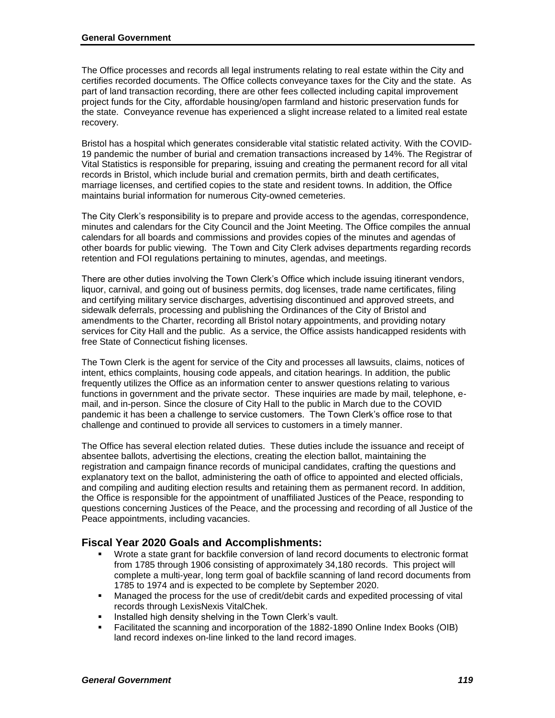The Office processes and records all legal instruments relating to real estate within the City and certifies recorded documents. The Office collects conveyance taxes for the City and the state. As part of land transaction recording, there are other fees collected including capital improvement project funds for the City, affordable housing/open farmland and historic preservation funds for the state. Conveyance revenue has experienced a slight increase related to a limited real estate recovery.

Bristol has a hospital which generates considerable vital statistic related activity. With the COVID-19 pandemic the number of burial and cremation transactions increased by 14%. The Registrar of Vital Statistics is responsible for preparing, issuing and creating the permanent record for all vital records in Bristol, which include burial and cremation permits, birth and death certificates, marriage licenses, and certified copies to the state and resident towns. In addition, the Office maintains burial information for numerous City-owned cemeteries.

The City Clerk's responsibility is to prepare and provide access to the agendas, correspondence, minutes and calendars for the City Council and the Joint Meeting. The Office compiles the annual calendars for all boards and commissions and provides copies of the minutes and agendas of other boards for public viewing. The Town and City Clerk advises departments regarding records retention and FOI regulations pertaining to minutes, agendas, and meetings.

There are other duties involving the Town Clerk's Office which include issuing itinerant vendors, liquor, carnival, and going out of business permits, dog licenses, trade name certificates, filing and certifying military service discharges, advertising discontinued and approved streets, and sidewalk deferrals, processing and publishing the Ordinances of the City of Bristol and amendments to the Charter, recording all Bristol notary appointments, and providing notary services for City Hall and the public. As a service, the Office assists handicapped residents with free State of Connecticut fishing licenses.

The Town Clerk is the agent for service of the City and processes all lawsuits, claims, notices of intent, ethics complaints, housing code appeals, and citation hearings. In addition, the public frequently utilizes the Office as an information center to answer questions relating to various functions in government and the private sector. These inquiries are made by mail, telephone, email, and in-person. Since the closure of City Hall to the public in March due to the COVID pandemic it has been a challenge to service customers. The Town Clerk's office rose to that challenge and continued to provide all services to customers in a timely manner.

The Office has several election related duties. These duties include the issuance and receipt of absentee ballots, advertising the elections, creating the election ballot, maintaining the registration and campaign finance records of municipal candidates, crafting the questions and explanatory text on the ballot, administering the oath of office to appointed and elected officials, and compiling and auditing election results and retaining them as permanent record. In addition, the Office is responsible for the appointment of unaffiliated Justices of the Peace, responding to questions concerning Justices of the Peace, and the processing and recording of all Justice of the Peace appointments, including vacancies.

#### **Fiscal Year 2020 Goals and Accomplishments:**

- Wrote a state grant for backfile conversion of land record documents to electronic format from 1785 through 1906 consisting of approximately 34,180 records. This project will complete a multi-year, long term goal of backfile scanning of land record documents from 1785 to 1974 and is expected to be complete by September 2020.
- Managed the process for the use of credit/debit cards and expedited processing of vital records through LexisNexis VitalChek.
- **Installed high density shelving in the Town Clerk's vault.**
- Facilitated the scanning and incorporation of the 1882-1890 Online Index Books (OIB) land record indexes on-line linked to the land record images.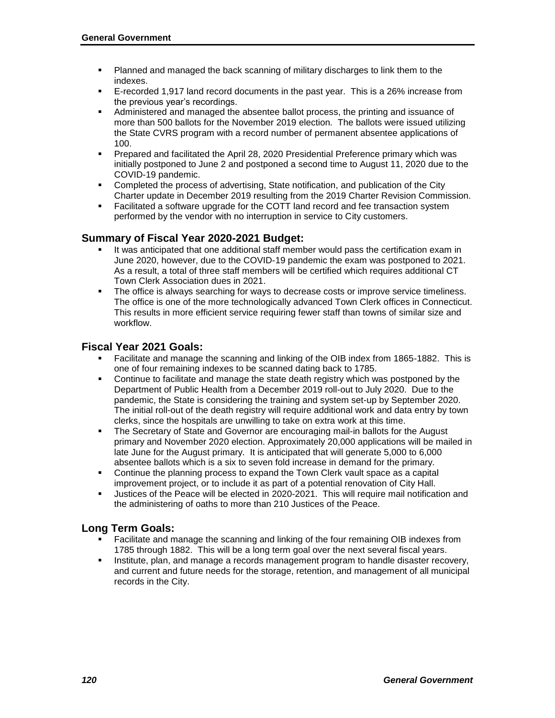- Planned and managed the back scanning of military discharges to link them to the indexes.
- E-recorded 1,917 land record documents in the past year. This is a 26% increase from the previous year's recordings.
- Administered and managed the absentee ballot process, the printing and issuance of more than 500 ballots for the November 2019 election. The ballots were issued utilizing the State CVRS program with a record number of permanent absentee applications of 100.
- Prepared and facilitated the April 28, 2020 Presidential Preference primary which was initially postponed to June 2 and postponed a second time to August 11, 2020 due to the COVID-19 pandemic.
- Completed the process of advertising, State notification, and publication of the City Charter update in December 2019 resulting from the 2019 Charter Revision Commission.
- Facilitated a software upgrade for the COTT land record and fee transaction system performed by the vendor with no interruption in service to City customers.

#### **Summary of Fiscal Year 2020-2021 Budget:**

- It was anticipated that one additional staff member would pass the certification exam in June 2020, however, due to the COVID-19 pandemic the exam was postponed to 2021. As a result, a total of three staff members will be certified which requires additional CT Town Clerk Association dues in 2021.
- The office is always searching for ways to decrease costs or improve service timeliness. The office is one of the more technologically advanced Town Clerk offices in Connecticut. This results in more efficient service requiring fewer staff than towns of similar size and workflow.

#### **Fiscal Year 2021 Goals:**

- Facilitate and manage the scanning and linking of the OIB index from 1865-1882. This is one of four remaining indexes to be scanned dating back to 1785.
- **Continue to facilitate and manage the state death registry which was postponed by the** Department of Public Health from a December 2019 roll-out to July 2020. Due to the pandemic, the State is considering the training and system set-up by September 2020. The initial roll-out of the death registry will require additional work and data entry by town clerks, since the hospitals are unwilling to take on extra work at this time.
- The Secretary of State and Governor are encouraging mail-in ballots for the August primary and November 2020 election. Approximately 20,000 applications will be mailed in late June for the August primary. It is anticipated that will generate 5,000 to 6,000 absentee ballots which is a six to seven fold increase in demand for the primary.
- Continue the planning process to expand the Town Clerk vault space as a capital improvement project, or to include it as part of a potential renovation of City Hall.
- Justices of the Peace will be elected in 2020-2021. This will require mail notification and the administering of oaths to more than 210 Justices of the Peace.

#### **Long Term Goals:**

- Facilitate and manage the scanning and linking of the four remaining OIB indexes from 1785 through 1882. This will be a long term goal over the next several fiscal years.
- **Institute, plan, and manage a records management program to handle disaster recovery,** and current and future needs for the storage, retention, and management of all municipal records in the City.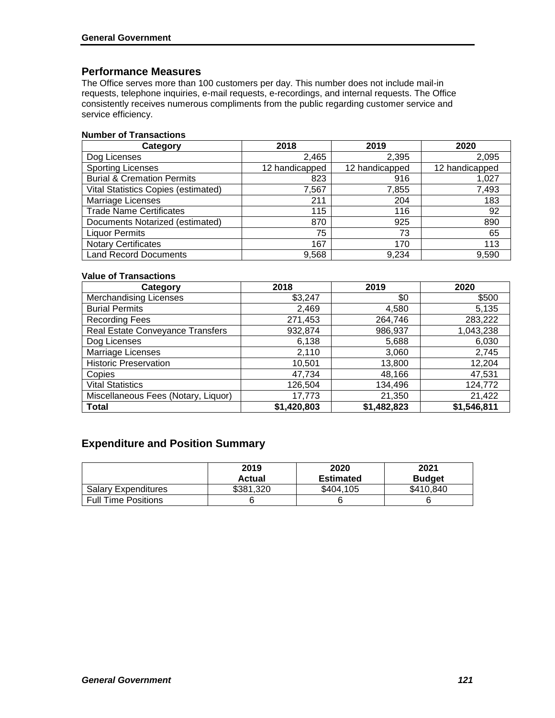#### **Performance Measures**

The Office serves more than 100 customers per day. This number does not include mail-in requests, telephone inquiries, e-mail requests, e-recordings, and internal requests. The Office consistently receives numerous compliments from the public regarding customer service and service efficiency.

#### **Number of Transactions**

| Category                              | 2018           | 2019           | 2020           |
|---------------------------------------|----------------|----------------|----------------|
| Dog Licenses                          | 2,465          | 2,395          | 2,095          |
| <b>Sporting Licenses</b>              | 12 handicapped | 12 handicapped | 12 handicapped |
| <b>Burial &amp; Cremation Permits</b> | 823            | 916            | 1,027          |
| Vital Statistics Copies (estimated)   | 7,567          | 7,855          | 7,493          |
| <b>Marriage Licenses</b>              | 211            | 204            | 183            |
| <b>Trade Name Certificates</b>        | 115            | 116            | 92             |
| Documents Notarized (estimated)       | 870            | 925            | 890            |
| <b>Liquor Permits</b>                 | 75             | 73             | 65             |
| <b>Notary Certificates</b>            | 167            | 170            | 113            |
| <b>Land Record Documents</b>          | 9,568          | 9,234          | 9.590          |

#### **Value of Transactions**

| Category                            | 2018        | 2019        | 2020        |
|-------------------------------------|-------------|-------------|-------------|
| <b>Merchandising Licenses</b>       | \$3,247     | \$0         | \$500       |
| <b>Burial Permits</b>               | 2,469       | 4,580       | 5,135       |
| <b>Recording Fees</b>               | 271,453     | 264,746     | 283,222     |
| Real Estate Conveyance Transfers    | 932,874     | 986,937     | 1,043,238   |
| Dog Licenses                        | 6,138       | 5,688       | 6,030       |
| Marriage Licenses                   | 2,110       | 3,060       | 2,745       |
| <b>Historic Preservation</b>        | 10,501      | 13,800      | 12,204      |
| Copies                              | 47,734      | 48,166      | 47,531      |
| <b>Vital Statistics</b>             | 126,504     | 134,496     | 124,772     |
| Miscellaneous Fees (Notary, Liquor) | 17,773      | 21,350      | 21,422      |
| <b>Total</b>                        | \$1,420,803 | \$1,482,823 | \$1,546,811 |

### **Expenditure and Position Summary**

|                            | 2019<br>Actual | 2020<br><b>Estimated</b> | 2021<br><b>Budget</b> |
|----------------------------|----------------|--------------------------|-----------------------|
| <b>Salary Expenditures</b> | \$381,320      | \$404,105                | \$410.840             |
| <b>Full Time Positions</b> |                |                          |                       |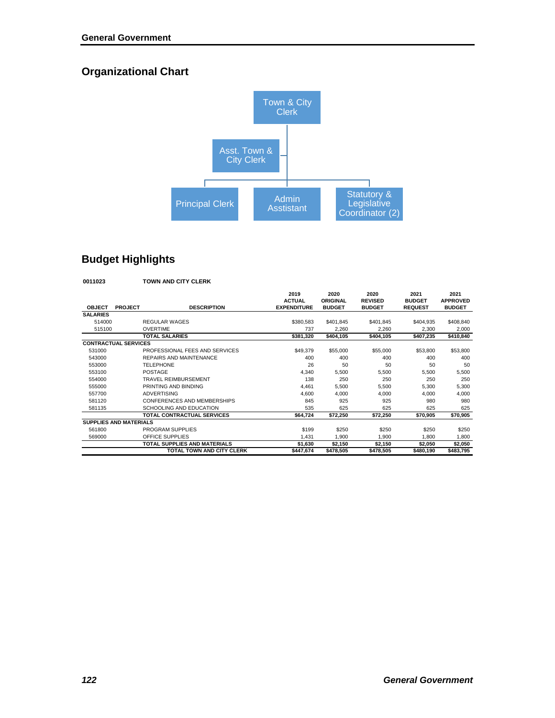# **Organizational Chart**



## **Budget Highlights**

| 0011023                       |                | <b>TOWN AND CITY CLERK</b>          |                                             |                                   |                                         |                                         |                                          |
|-------------------------------|----------------|-------------------------------------|---------------------------------------------|-----------------------------------|-----------------------------------------|-----------------------------------------|------------------------------------------|
| <b>OBJECT</b>                 | <b>PROJECT</b> | <b>DESCRIPTION</b>                  | 2019<br><b>ACTUAL</b><br><b>EXPENDITURE</b> | 2020<br>ORIGINAL<br><b>BUDGET</b> | 2020<br><b>REVISED</b><br><b>BUDGET</b> | 2021<br><b>BUDGET</b><br><b>REQUEST</b> | 2021<br><b>APPROVED</b><br><b>BUDGET</b> |
| <b>SALARIES</b>               |                |                                     |                                             |                                   |                                         |                                         |                                          |
| 514000                        |                | <b>REGULAR WAGES</b>                | \$380.583                                   | \$401,845                         | \$401,845                               | \$404,935                               | \$408,840                                |
| 515100                        |                | <b>OVERTIME</b>                     | 737                                         | 2,260                             | 2.260                                   | 2,300                                   | 2,000                                    |
|                               |                | <b>TOTAL SALARIES</b>               | \$381,320                                   | \$404.105                         | \$404,105                               | \$407,235                               | \$410,840                                |
| <b>CONTRACTUAL SERVICES</b>   |                |                                     |                                             |                                   |                                         |                                         |                                          |
| 531000                        |                | PROFESSIONAL FEES AND SERVICES      | \$49.379                                    | \$55,000                          | \$55,000                                | \$53,800                                | \$53,800                                 |
| 543000                        |                | REPAIRS AND MAINTENANCE             | 400                                         | 400                               | 400                                     | 400                                     | 400                                      |
| 553000                        |                | <b>TELEPHONE</b>                    | 26                                          | 50                                | 50                                      | 50                                      | 50                                       |
| 553100                        |                | POSTAGE                             | 4.340                                       | 5.500                             | 5.500                                   | 5.500                                   | 5.500                                    |
| 554000                        |                | <b>TRAVEL REIMBURSEMENT</b>         | 138                                         | 250                               | 250                                     | 250                                     | 250                                      |
| 555000                        |                | PRINTING AND BINDING                | 4.461                                       | 5.500                             | 5.500                                   | 5.300                                   | 5.300                                    |
| 557700                        |                | <b>ADVERTISING</b>                  | 4.600                                       | 4.000                             | 4.000                                   | 4.000                                   | 4.000                                    |
| 581120                        |                | CONFERENCES AND MEMBERSHIPS         | 845                                         | 925                               | 925                                     | 980                                     | 980                                      |
| 581135                        |                | SCHOOLING AND EDUCATION             | 535                                         | 625                               | 625                                     | 625                                     | 625                                      |
|                               |                | TOTAL CONTRACTUAL SERVICES          | \$64.724                                    | \$72,250                          | \$72,250                                | \$70.905                                | \$70,905                                 |
| <b>SUPPLIES AND MATERIALS</b> |                |                                     |                                             |                                   |                                         |                                         |                                          |
| 561800                        |                | PROGRAM SUPPLIES                    | \$199                                       | \$250                             | \$250                                   | \$250                                   | \$250                                    |
| 569000                        |                | OFFICE SUPPLIES                     | 1,431                                       | 1.900                             | 1.900                                   | 1.800                                   | 1.800                                    |
|                               |                | <b>TOTAL SUPPLIES AND MATERIALS</b> | \$1,630                                     | \$2,150                           | \$2,150                                 | \$2,050                                 | \$2,050                                  |
|                               |                | TOTAL TOWN AND CITY CLERK           | \$447,674                                   | \$478,505                         | \$478,505                               | \$480,190                               | \$483,795                                |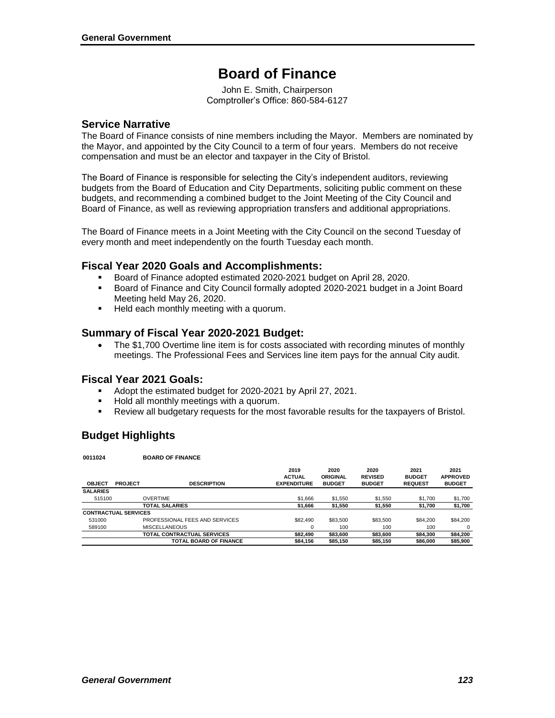# **Board of Finance**

John E. Smith, Chairperson Comptroller's Office: 860-584-6127

#### **Service Narrative**

The Board of Finance consists of nine members including the Mayor. Members are nominated by the Mayor, and appointed by the City Council to a term of four years. Members do not receive compensation and must be an elector and taxpayer in the City of Bristol.

The Board of Finance is responsible for selecting the City's independent auditors, reviewing budgets from the Board of Education and City Departments, soliciting public comment on these budgets, and recommending a combined budget to the Joint Meeting of the City Council and Board of Finance, as well as reviewing appropriation transfers and additional appropriations.

The Board of Finance meets in a Joint Meeting with the City Council on the second Tuesday of every month and meet independently on the fourth Tuesday each month.

#### **Fiscal Year 2020 Goals and Accomplishments:**

- Board of Finance adopted estimated 2020-2021 budget on April 28, 2020.
- Board of Finance and City Council formally adopted 2020-2021 budget in a Joint Board Meeting held May 26, 2020.
- **Held each monthly meeting with a quorum.**

#### **Summary of Fiscal Year 2020-2021 Budget:**

• The \$1,700 Overtime line item is for costs associated with recording minutes of monthly meetings. The Professional Fees and Services line item pays for the annual City audit.

#### **Fiscal Year 2021 Goals:**

- Adopt the estimated budget for 2020-2021 by April 27, 2021.
- **Hold all monthly meetings with a quorum.**
- Review all budgetary requests for the most favorable results for the taxpayers of Bristol.

## **Budget Highlights**

**0011024 BOARD OF FINANCE**

| <b>UU I IUZ4</b>            |                | <b>DUAND UF FINANUE</b>        |                                             |                                   |                                         |                                         |                                          |
|-----------------------------|----------------|--------------------------------|---------------------------------------------|-----------------------------------|-----------------------------------------|-----------------------------------------|------------------------------------------|
| <b>OBJECT</b>               | <b>PROJECT</b> | <b>DESCRIPTION</b>             | 2019<br><b>ACTUAL</b><br><b>EXPENDITURE</b> | 2020<br>ORIGINAL<br><b>BUDGET</b> | 2020<br><b>REVISED</b><br><b>BUDGET</b> | 2021<br><b>BUDGET</b><br><b>REQUEST</b> | 2021<br><b>APPROVED</b><br><b>BUDGET</b> |
| <b>SALARIES</b>             |                |                                |                                             |                                   |                                         |                                         |                                          |
| 515100                      |                | <b>OVERTIME</b>                | \$1,666                                     | \$1,550                           | \$1,550                                 | \$1,700                                 | \$1,700                                  |
|                             |                | <b>TOTAL SALARIES</b>          | \$1,666                                     | \$1,550                           | \$1,550                                 | \$1,700                                 | \$1,700                                  |
| <b>CONTRACTUAL SERVICES</b> |                |                                |                                             |                                   |                                         |                                         |                                          |
| 531000                      |                | PROFESSIONAL FEES AND SERVICES | \$82,490                                    | \$83,500                          | \$83,500                                | \$84,200                                | \$84,200                                 |
| 589100                      |                | <b>MISCELLANEOUS</b>           | 0                                           | 100                               | 100                                     | 100                                     | 0                                        |
|                             |                | TOTAL CONTRACTUAL SERVICES     | \$82,490                                    | \$83,600                          | \$83,600                                | \$84,300                                | \$84,200                                 |
|                             |                | <b>TOTAL BOARD OF FINANCE</b>  | \$84,156                                    | \$85,150                          | \$85,150                                | \$86,000                                | \$85,900                                 |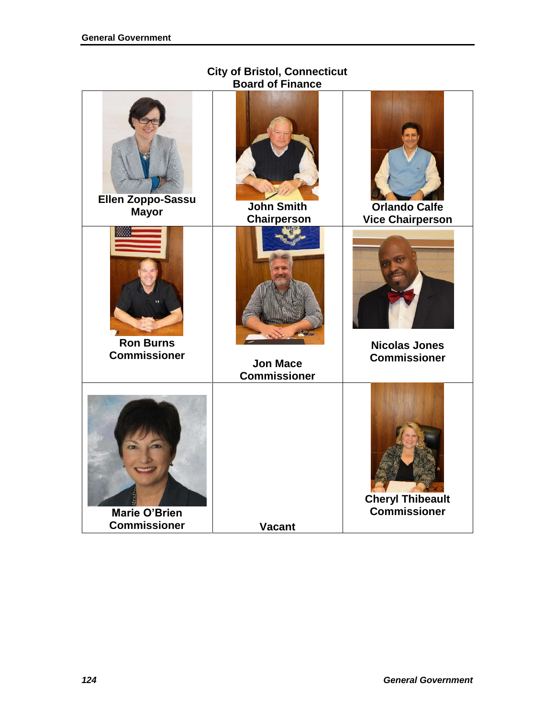## **City of Bristol, Connecticut Board of Finance**

| Ellen Zoppo-Sassu                           | <b>John Smith</b>   | <b>Orlando Calfe</b>                           |
|---------------------------------------------|---------------------|------------------------------------------------|
| <b>Mayor</b>                                | <b>Chairperson</b>  | <b>Vice Chairperson</b>                        |
| <b>Ron Burns</b>                            | <b>Jon Mace</b>     | <b>Nicolas Jones</b>                           |
| <b>Commissioner</b>                         | <b>Commissioner</b> | <b>Commissioner</b>                            |
| <b>Marie O'Brien</b><br><b>Commissioner</b> | <b>Vacant</b>       | <b>Cheryl Thibeault</b><br><b>Commissioner</b> |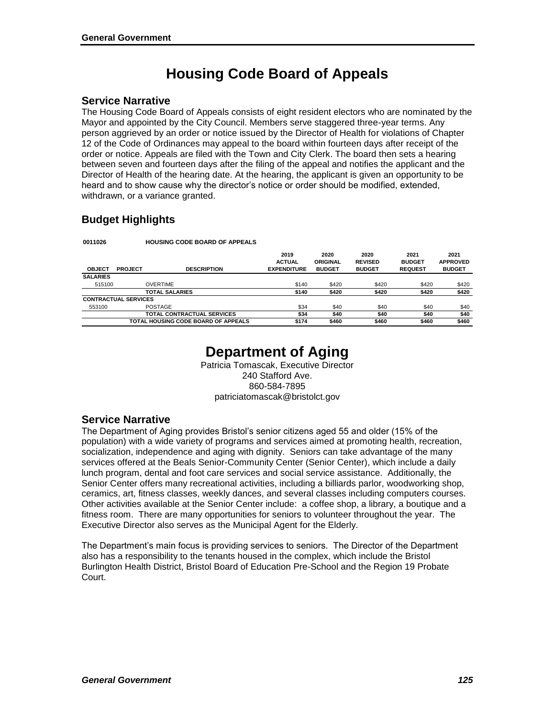# **Housing Code Board of Appeals**

#### **Service Narrative**

The Housing Code Board of Appeals consists of eight resident electors who are nominated by the Mayor and appointed by the City Council. Members serve staggered three-year terms. Any person aggrieved by an order or notice issued by the Director of Health for violations of Chapter 12 of the Code of Ordinances may appeal to the board within fourteen days after receipt of the order or notice. Appeals are filed with the Town and City Clerk. The board then sets a hearing between seven and fourteen days after the filing of the appeal and notifies the applicant and the Director of Health of the hearing date. At the hearing, the applicant is given an opportunity to be heard and to show cause why the director's notice or order should be modified, extended, withdrawn, or a variance granted.

## **Budget Highlights**

**0011026 HOUSING CODE BOARD OF APPEALS**

|        | <b>DESCRIPTION</b>         | 2019<br><b>ACTUAL</b><br><b>EXPENDITURE</b>                               | 2020<br><b>ORIGINAL</b><br><b>BUDGET</b> | 2020<br><b>REVISED</b><br><b>BUDGET</b> | 2021<br><b>BUDGET</b><br><b>REQUEST</b> | 2021<br><b>APPROVED</b><br><b>BUDGET</b> |
|--------|----------------------------|---------------------------------------------------------------------------|------------------------------------------|-----------------------------------------|-----------------------------------------|------------------------------------------|
|        |                            |                                                                           |                                          |                                         |                                         |                                          |
| 515100 | <b>OVERTIME</b>            | \$140                                                                     | \$420                                    | \$420                                   | \$420                                   | \$420                                    |
|        | <b>TOTAL SALARIES</b>      | \$140                                                                     | \$420                                    | \$420                                   | \$420                                   | \$420                                    |
|        |                            |                                                                           |                                          |                                         |                                         |                                          |
|        | <b>POSTAGE</b>             | \$34                                                                      | \$40                                     | \$40                                    | \$40                                    | \$40                                     |
|        | TOTAL CONTRACTUAL SERVICES | \$34                                                                      | \$40                                     | \$40                                    | \$40                                    | \$40                                     |
|        |                            | \$174                                                                     | \$460                                    | \$460                                   | \$460                                   | \$460                                    |
|        | <b>PROJECT</b>             | <b>CONTRACTUAL SERVICES</b><br><b>TOTAL HOUSING CODE BOARD OF APPEALS</b> |                                          |                                         |                                         |                                          |

# **Department of Aging**

Patricia Tomascak, Executive Director 240 Stafford Ave. 860-584-7895 patriciatomascak@bristolct.gov

#### **Service Narrative**

The Department of Aging provides Bristol's senior citizens aged 55 and older (15% of the population) with a wide variety of programs and services aimed at promoting health, recreation, socialization, independence and aging with dignity. Seniors can take advantage of the many services offered at the Beals Senior-Community Center (Senior Center), which include a daily lunch program, dental and foot care services and social service assistance. Additionally, the Senior Center offers many recreational activities, including a billiards parlor, woodworking shop, ceramics, art, fitness classes, weekly dances, and several classes including computers courses. Other activities available at the Senior Center include: a coffee shop, a library, a boutique and a fitness room. There are many opportunities for seniors to volunteer throughout the year. The Executive Director also serves as the Municipal Agent for the Elderly.

The Department's main focus is providing services to seniors. The Director of the Department also has a responsibility to the tenants housed in the complex, which include the Bristol Burlington Health District, Bristol Board of Education Pre-School and the Region 19 Probate Court.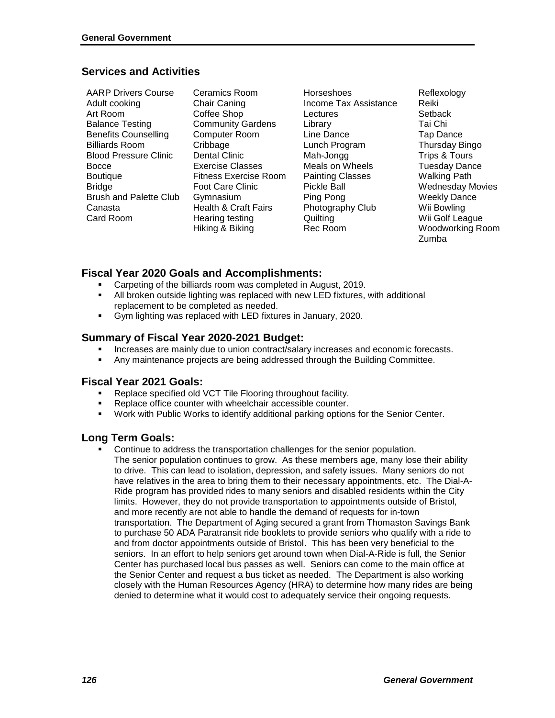### **Services and Activities**

| <b>AARP Drivers Course</b>    |
|-------------------------------|
| Adult cooking                 |
| Art Room                      |
| <b>Balance Testing</b>        |
| <b>Benefits Counselling</b>   |
| Billiards Room                |
| <b>Blood Pressure Clinic</b>  |
| Bocce                         |
| Boutique                      |
| <b>Bridge</b>                 |
| <b>Brush and Palette Club</b> |
| Canasta                       |
| Card Room                     |
|                               |

Ceramics Room Chair Caning Coffee Shop Community Gardens Computer Room **Cribbage** Dental Clinic Exercise Classes Fitness Exercise Room Foot Care Clinic Gymnasium Health & Craft Fairs Hearing testing Hiking & Biking

Horseshoes Income Tax Assistance **Lectures** Library Line Dance Lunch Program Mah-Jongg Meals on Wheels Painting Classes Pickle Ball Ping Pong Photography Club **Quilting** Rec Room

Reflexology Reiki **Setback** Tai Chi Tap Dance Thursday Bingo Trips & Tours Tuesday Dance Walking Path Wednesday Movies Weekly Dance Wii Bowling Wii Golf League Woodworking Room Zumba

## **Fiscal Year 2020 Goals and Accomplishments:**

- **Carpeting of the billiards room was completed in August, 2019.**
- All broken outside lighting was replaced with new LED fixtures, with additional replacement to be completed as needed.
- Gym lighting was replaced with LED fixtures in January, 2020.

#### **Summary of Fiscal Year 2020-2021 Budget:**

- Increases are mainly due to union contract/salary increases and economic forecasts.
- Any maintenance projects are being addressed through the Building Committee.

#### **Fiscal Year 2021 Goals:**

- Replace specified old VCT Tile Flooring throughout facility.
- Replace office counter with wheelchair accessible counter.
- Work with Public Works to identify additional parking options for the Senior Center.

#### **Long Term Goals:**

 Continue to address the transportation challenges for the senior population. The senior population continues to grow. As these members age, many lose their ability to drive. This can lead to isolation, depression, and safety issues. Many seniors do not have relatives in the area to bring them to their necessary appointments, etc. The Dial-A-Ride program has provided rides to many seniors and disabled residents within the City limits. However, they do not provide transportation to appointments outside of Bristol, and more recently are not able to handle the demand of requests for in-town transportation. The Department of Aging secured a grant from Thomaston Savings Bank to purchase 50 ADA Paratransit ride booklets to provide seniors who qualify with a ride to and from doctor appointments outside of Bristol. This has been very beneficial to the seniors. In an effort to help seniors get around town when Dial-A-Ride is full, the Senior Center has purchased local bus passes as well. Seniors can come to the main office at the Senior Center and request a bus ticket as needed. The Department is also working closely with the Human Resources Agency (HRA) to determine how many rides are being denied to determine what it would cost to adequately service their ongoing requests.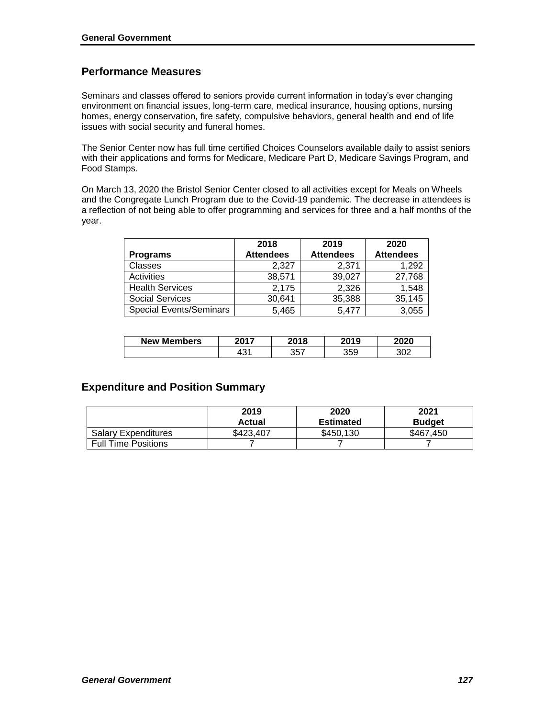### **Performance Measures**

Seminars and classes offered to seniors provide current information in today's ever changing environment on financial issues, long-term care, medical insurance, housing options, nursing homes, energy conservation, fire safety, compulsive behaviors, general health and end of life issues with social security and funeral homes.

The Senior Center now has full time certified Choices Counselors available daily to assist seniors with their applications and forms for Medicare, Medicare Part D, Medicare Savings Program, and Food Stamps.

On March 13, 2020 the Bristol Senior Center closed to all activities except for Meals on Wheels and the Congregate Lunch Program due to the Covid-19 pandemic. The decrease in attendees is a reflection of not being able to offer programming and services for three and a half months of the year.

|                                | 2018             | 2019             | 2020             |
|--------------------------------|------------------|------------------|------------------|
| <b>Programs</b>                | <b>Attendees</b> | <b>Attendees</b> | <b>Attendees</b> |
| <b>Classes</b>                 | 2,327            | 2.371            | 1,292            |
| Activities                     | 38,571           | 39,027           | 27,768           |
| <b>Health Services</b>         | 2,175            | 2,326            | 1,548            |
| <b>Social Services</b>         | 30,641           | 35,388           | 35,145           |
| <b>Special Events/Seminars</b> | 5,465            | 5.477            | 3,055            |

| <b>New Members</b> | 2017        | 2018       | 2019       | 2020 |
|--------------------|-------------|------------|------------|------|
|                    | 101<br>. שד | 257<br>، ب | 350<br>ບບບ | מ∩י  |

#### **Expenditure and Position Summary**

|                            | 2019<br>Actual | 2020<br>Estimated | 2021<br><b>Budget</b> |
|----------------------------|----------------|-------------------|-----------------------|
| <b>Salary Expenditures</b> | \$423.407      | \$450.130         | \$467,450             |
| <b>Full Time Positions</b> |                |                   |                       |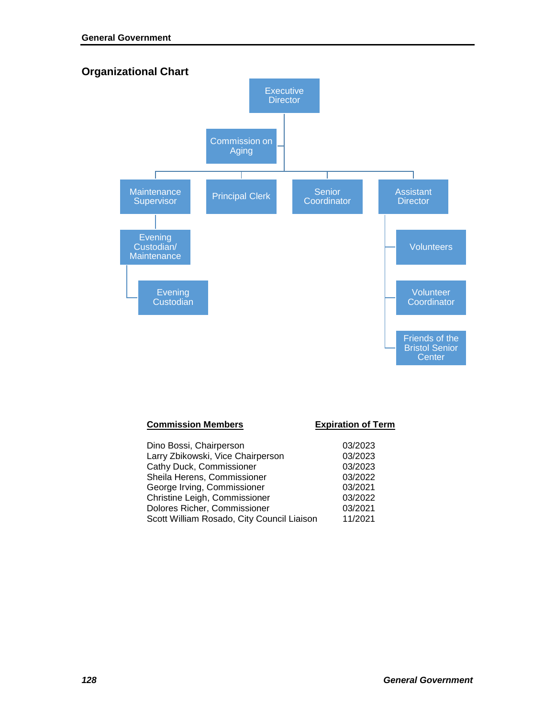

| <b>Commission Members</b>                  | <b>Expiration of Term</b> |
|--------------------------------------------|---------------------------|
| Dino Bossi, Chairperson                    | 03/2023                   |
| Larry Zbikowski, Vice Chairperson          | 03/2023                   |
| Cathy Duck, Commissioner                   | 03/2023                   |
| Sheila Herens, Commissioner                | 03/2022                   |
| George Irving, Commissioner                | 03/2021                   |
| Christine Leigh, Commissioner              | 03/2022                   |
| Dolores Richer, Commissioner               | 03/2021                   |
| Scott William Rosado, City Council Liaison | 11/2021                   |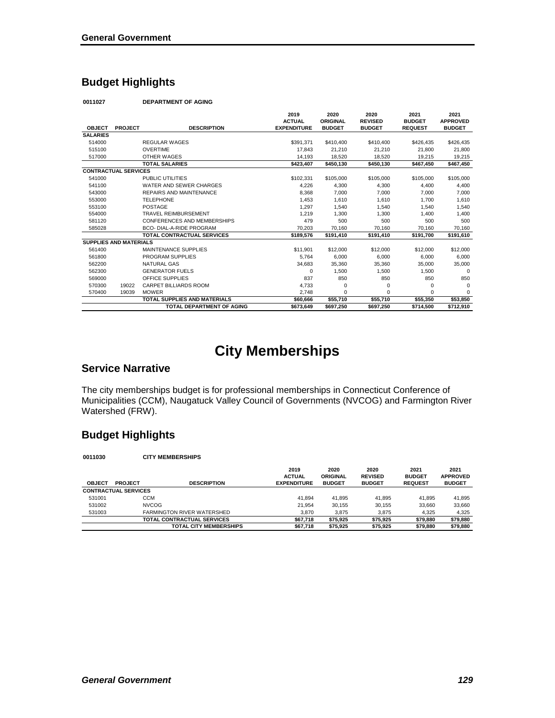## **Budget Highlights**

**0011027 DEPARTMENT OF AGING**

|                               |                |                                     | 2019<br><b>ACTUAL</b> | 2020<br>ORIGINAL | 2020<br><b>REVISED</b> | 2021<br><b>BUDGET</b> | 2021<br><b>APPROVED</b> |
|-------------------------------|----------------|-------------------------------------|-----------------------|------------------|------------------------|-----------------------|-------------------------|
| <b>OBJECT</b>                 | <b>PROJECT</b> | <b>DESCRIPTION</b>                  | <b>EXPENDITURE</b>    | <b>BUDGET</b>    | <b>BUDGET</b>          | <b>REQUEST</b>        | <b>BUDGET</b>           |
| <b>SALARIES</b>               |                |                                     |                       |                  |                        |                       |                         |
| 514000                        |                | <b>REGULAR WAGES</b>                | \$391,371             | \$410,400        | \$410,400              | \$426,435             | \$426,435               |
| 515100                        |                | <b>OVERTIME</b>                     | 17.843                | 21,210           | 21,210                 | 21.800                | 21,800                  |
| 517000                        |                | OTHER WAGES                         | 14,193                | 18,520           | 18,520                 | 19,215                | 19,215                  |
|                               |                | <b>TOTAL SALARIES</b>               | \$423,407             | \$450,130        | \$450,130              | \$467,450             | \$467,450               |
| <b>CONTRACTUAL SERVICES</b>   |                |                                     |                       |                  |                        |                       |                         |
| 541000                        |                | PUBLIC UTILITIES                    | \$102,331             | \$105,000        | \$105,000              | \$105,000             | \$105,000               |
| 541100                        |                | WATER AND SEWER CHARGES             | 4,226                 | 4,300            | 4.300                  | 4.400                 | 4,400                   |
| 543000                        |                | REPAIRS AND MAINTENANCE             | 8,368                 | 7,000            | 7,000                  | 7,000                 | 7,000                   |
| 553000                        |                | <b>TELEPHONE</b>                    | 1,453                 | 1,610            | 1.610                  | 1.700                 | 1,610                   |
| 553100                        |                | POSTAGE                             | 1,297                 | 1,540            | 1,540                  | 1,540                 | 1,540                   |
| 554000                        |                | <b>TRAVEL REIMBURSEMENT</b>         | 1,219                 | 1,300            | 1.300                  | 1.400                 | 1,400                   |
| 581120                        |                | CONFERENCES AND MEMBERSHIPS         | 479                   | 500              | 500                    | 500                   | 500                     |
| 585028                        |                | BCO- DIAL-A-RIDE PROGRAM            | 70.203                | 70.160           | 70.160                 | 70.160                | 70,160                  |
|                               |                | <b>TOTAL CONTRACTUAL SERVICES</b>   | \$189.576             | \$191.410        | \$191.410              | \$191.700             | \$191.610               |
| <b>SUPPLIES AND MATERIALS</b> |                |                                     |                       |                  |                        |                       |                         |
| 561400                        |                | MAINTENANCE SUPPLIES                | \$11.901              | \$12,000         | \$12,000               | \$12,000              | \$12,000                |
| 561800                        |                | PROGRAM SUPPLIES                    | 5,764                 | 6,000            | 6,000                  | 6,000                 | 6,000                   |
| 562200                        |                | NATURAL GAS                         | 34,683                | 35,360           | 35,360                 | 35,000                | 35,000                  |
| 562300                        |                | <b>GENERATOR FUELS</b>              | 0                     | 1,500            | 1,500                  | 1,500                 | 0                       |
| 569000                        |                | OFFICE SUPPLIES                     | 837                   | 850              | 850                    | 850                   | 850                     |
| 570300                        | 19022          | CARPET BILLIARDS ROOM               | 4,733                 | 0                | $\Omega$               | $\Omega$              | $\Omega$                |
| 570400                        | 19039          | <b>MOWER</b>                        | 2.748                 | 0                | $\Omega$               | $\Omega$              | 0                       |
|                               |                | <b>TOTAL SUPPLIES AND MATERIALS</b> | \$60.666              | \$55,710         | \$55.710               | \$55.350              | \$53,850                |
|                               |                | <b>TOTAL DEPARTMENT OF AGING</b>    | \$673,649             | \$697,250        | \$697,250              | \$714,500             | \$712,910               |

# **City Memberships**

#### **Service Narrative**

The city memberships budget is for professional memberships in Connecticut Conference of Municipalities (CCM), Naugatuck Valley Council of Governments (NVCOG) and Farmington River Watershed (FRW).

## **Budget Highlights**

| 0011030                     | <b>CITY MEMBERSHIPS</b> |                                   |                                             |                                          |                                         |                                         |                                          |
|-----------------------------|-------------------------|-----------------------------------|---------------------------------------------|------------------------------------------|-----------------------------------------|-----------------------------------------|------------------------------------------|
| <b>OBJECT</b>               | <b>PROJECT</b>          | <b>DESCRIPTION</b>                | 2019<br><b>ACTUAL</b><br><b>EXPENDITURE</b> | 2020<br><b>ORIGINAL</b><br><b>BUDGET</b> | 2020<br><b>REVISED</b><br><b>BUDGET</b> | 2021<br><b>BUDGET</b><br><b>REQUEST</b> | 2021<br><b>APPROVED</b><br><b>BUDGET</b> |
| <b>CONTRACTUAL SERVICES</b> |                         |                                   |                                             |                                          |                                         |                                         |                                          |
| 531001                      | CCM                     |                                   | 41.894                                      | 41.895                                   | 41.895                                  | 41.895                                  | 41.895                                   |
| 531002                      |                         | <b>NVCOG</b>                      | 21.954                                      | 30.155                                   | 30.155                                  | 33.660                                  | 33.660                                   |
| 531003                      |                         | <b>FARMINGTON RIVER WATERSHED</b> | 3.870                                       | 3.875                                    | 3.875                                   | 4.325                                   | 4,325                                    |
|                             |                         | TOTAL CONTRACTUAL SERVICES        | \$67.718                                    | \$75,925                                 | \$75,925                                | \$79,880                                | \$79,880                                 |
|                             |                         | <b>TOTAL CITY MEMBERSHIPS</b>     | \$67,718                                    | \$75,925                                 | \$75,925                                | \$79,880                                | \$79,880                                 |